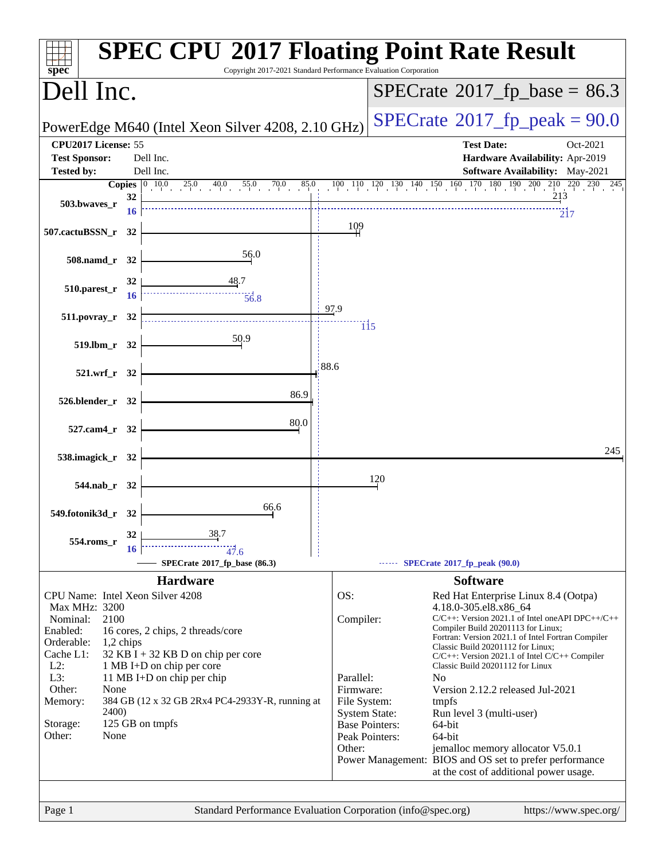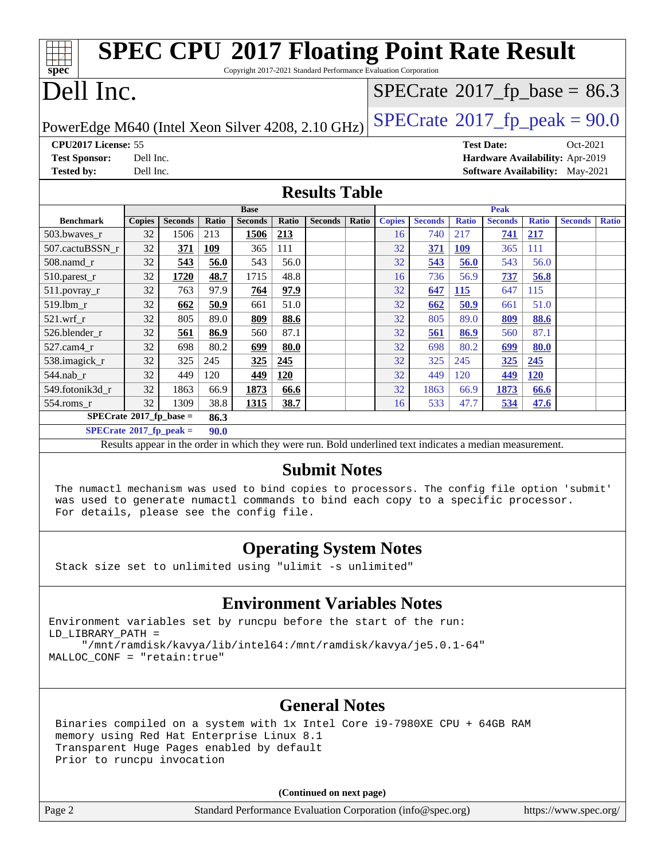| <b>SPEC CPU®2017 Floating Point Rate Result</b><br>spec<br>Copyright 2017-2021 Standard Performance Evaluation Corporation |                            |                |       |                |              |                |              |               |                |              |                |                                             |                                        |              |
|----------------------------------------------------------------------------------------------------------------------------|----------------------------|----------------|-------|----------------|--------------|----------------|--------------|---------------|----------------|--------------|----------------|---------------------------------------------|----------------------------------------|--------------|
|                                                                                                                            | Dell Inc.                  |                |       |                |              |                |              |               |                |              |                | $SPECrate$ <sup>®</sup> 2017_fp_base = 86.3 |                                        |              |
| $SPECrate^{\circ}2017$ _fp_peak = 90.0<br>PowerEdge M640 (Intel Xeon Silver 4208, 2.10 GHz)                                |                            |                |       |                |              |                |              |               |                |              |                |                                             |                                        |              |
| CPU2017 License: 55<br><b>Test Date:</b><br>Oct-2021                                                                       |                            |                |       |                |              |                |              |               |                |              |                |                                             |                                        |              |
| <b>Test Sponsor:</b>                                                                                                       | Dell Inc.                  |                |       |                |              |                |              |               |                |              |                |                                             | Hardware Availability: Apr-2019        |              |
| <b>Tested by:</b>                                                                                                          | Dell Inc.                  |                |       |                |              |                |              |               |                |              |                |                                             | <b>Software Availability:</b> May-2021 |              |
| <b>Results Table</b>                                                                                                       |                            |                |       |                |              |                |              |               |                |              |                |                                             |                                        |              |
|                                                                                                                            | <b>Peak</b><br><b>Base</b> |                |       |                |              |                |              |               |                |              |                |                                             |                                        |              |
| <b>Benchmark</b>                                                                                                           | <b>Copies</b>              | <b>Seconds</b> | Ratio | <b>Seconds</b> | <b>Ratio</b> | <b>Seconds</b> | <b>Ratio</b> | <b>Copies</b> | <b>Seconds</b> | <b>Ratio</b> | <b>Seconds</b> | <b>Ratio</b>                                | <b>Seconds</b>                         | <b>Ratio</b> |
| 503.bwaves_r                                                                                                               | 32                         | 1506           | 213   | <b>1506</b>    | 213          |                |              | 16            | 740            | 217          | 741            | 217                                         |                                        |              |
| 507.cactuBSSN r                                                                                                            | 32                         | 371            | 109   | 365            | 111          |                |              | 32            | <b>371</b>     | <b>109</b>   | 365            | 111                                         |                                        |              |
| 508.namd_r                                                                                                                 | 32                         | 543            | 56.0  | 543            | 56.0         |                |              | 32            | 543            | 56.0         | 543            | 56.0                                        |                                        |              |
| $510.parest_r$                                                                                                             | 32                         | 1720           | 48.7  | 1715           | 48.8         |                |              | 16            | 736            | 56.9         | 737            | 56.8                                        |                                        |              |
| 511.povray_r                                                                                                               | 32                         | 763            | 97.9  | 764            | 97.9         |                |              | 32            | 647            | 115          | 647            | 115                                         |                                        |              |
| 519.lbm_r                                                                                                                  | 32                         | 662            | 50.9  | 661            | 51.0         |                |              | 32            | 662            | 50.9         | 661            | 51.0                                        |                                        |              |
| $521.wrf_r$                                                                                                                | 32                         | 805            | 89.0  | 809            | 88.6         |                |              | 32            | 805            | 89.0         | 809            | 88.6                                        |                                        |              |
| 526.blender r                                                                                                              | 32                         | 561            | 86.9  | 560            | 87.1         |                |              | 32            | 561            | 86.9         | 560            | 87.1                                        |                                        |              |
| 527.cam4 r                                                                                                                 | 32                         | 698            | 80.2  | 699            | 80.0         |                |              | 32            | 698            | 80.2         | 699            | 80.0                                        |                                        |              |
| 538.imagick_r                                                                                                              | 32                         | 325            | 245   | 325            | 245          |                |              | 32            | 325            | 245          | 325            | 245                                         |                                        |              |
| 544.nab r                                                                                                                  | 32                         | 449            | 120   | 449            | 120          |                |              | 32            | 449            | 120          | 449            | 120                                         |                                        |              |
| 549.fotonik3d r                                                                                                            | 32                         | 1863           | 66.9  | 1873           | 66.6         |                |              | 32            | 1863           | 66.9         | 1873           | 66.6                                        |                                        |              |
| 554.roms r                                                                                                                 | 32                         | 1309           | 38.8  | 1315           | 38.7         |                |              | 16            | 533            | 47.7         | 534            | 47.6                                        |                                        |              |
| $SPECrate^*2017_fp\_base =$<br>86.3                                                                                        |                            |                |       |                |              |                |              |               |                |              |                |                                             |                                        |              |
| $SPECrate^{\circ}2017$ _fp_peak =<br>90.0                                                                                  |                            |                |       |                |              |                |              |               |                |              |                |                                             |                                        |              |
| Results appear in the order in which they were run. Bold underlined text indicates a median measurement.                   |                            |                |       |                |              |                |              |               |                |              |                |                                             |                                        |              |

#### **[Submit Notes](http://www.spec.org/auto/cpu2017/Docs/result-fields.html#SubmitNotes)**

 The numactl mechanism was used to bind copies to processors. The config file option 'submit' was used to generate numactl commands to bind each copy to a specific processor. For details, please see the config file.

#### **[Operating System Notes](http://www.spec.org/auto/cpu2017/Docs/result-fields.html#OperatingSystemNotes)**

Stack size set to unlimited using "ulimit -s unlimited"

#### **[Environment Variables Notes](http://www.spec.org/auto/cpu2017/Docs/result-fields.html#EnvironmentVariablesNotes)**

Environment variables set by runcpu before the start of the run: LD\_LIBRARY\_PATH = "/mnt/ramdisk/kavya/lib/intel64:/mnt/ramdisk/kavya/je5.0.1-64"

MALLOC\_CONF = "retain:true"

#### **[General Notes](http://www.spec.org/auto/cpu2017/Docs/result-fields.html#GeneralNotes)**

 Binaries compiled on a system with 1x Intel Core i9-7980XE CPU + 64GB RAM memory using Red Hat Enterprise Linux 8.1 Transparent Huge Pages enabled by default Prior to runcpu invocation

**(Continued on next page)**

Page 2 Standard Performance Evaluation Corporation [\(info@spec.org\)](mailto:info@spec.org) <https://www.spec.org/>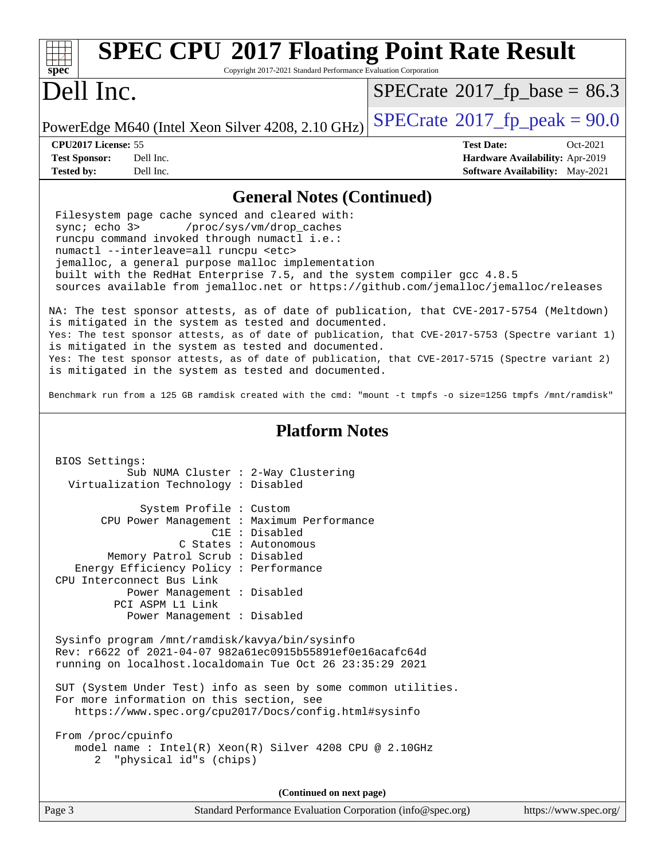| <b>SPEC CPU®2017 Floating Point Rate Result</b><br>Copyright 2017-2021 Standard Performance Evaluation Corporation<br>$spec^*$                                                                                                                                                                                                                                                                                                                                                                                                                                                                                                                                                                                                                                                                                                                                                                                                                                                                                       |                                                                                                            |  |  |  |  |
|----------------------------------------------------------------------------------------------------------------------------------------------------------------------------------------------------------------------------------------------------------------------------------------------------------------------------------------------------------------------------------------------------------------------------------------------------------------------------------------------------------------------------------------------------------------------------------------------------------------------------------------------------------------------------------------------------------------------------------------------------------------------------------------------------------------------------------------------------------------------------------------------------------------------------------------------------------------------------------------------------------------------|------------------------------------------------------------------------------------------------------------|--|--|--|--|
| Dell Inc.                                                                                                                                                                                                                                                                                                                                                                                                                                                                                                                                                                                                                                                                                                                                                                                                                                                                                                                                                                                                            | $SPECrate^{\circ}2017_fp\_base = 86.3$                                                                     |  |  |  |  |
| PowerEdge M640 (Intel Xeon Silver 4208, 2.10 GHz)                                                                                                                                                                                                                                                                                                                                                                                                                                                                                                                                                                                                                                                                                                                                                                                                                                                                                                                                                                    | $SPECrate^{\circ}2017$ _fp_peak = 90.0                                                                     |  |  |  |  |
| CPU2017 License: 55<br><b>Test Sponsor:</b><br>Dell Inc.<br>Dell Inc.<br><b>Tested by:</b>                                                                                                                                                                                                                                                                                                                                                                                                                                                                                                                                                                                                                                                                                                                                                                                                                                                                                                                           | <b>Test Date:</b><br>Oct-2021<br>Hardware Availability: Apr-2019<br><b>Software Availability:</b> May-2021 |  |  |  |  |
| <b>General Notes (Continued)</b>                                                                                                                                                                                                                                                                                                                                                                                                                                                                                                                                                                                                                                                                                                                                                                                                                                                                                                                                                                                     |                                                                                                            |  |  |  |  |
| Filesystem page cache synced and cleared with:<br>sync; echo 3><br>/proc/sys/vm/drop_caches<br>runcpu command invoked through numactl i.e.:<br>numactl --interleave=all runcpu <etc><br/>jemalloc, a general purpose malloc implementation<br/>built with the RedHat Enterprise 7.5, and the system compiler gcc 4.8.5<br/>sources available from jemalloc.net or https://github.com/jemalloc/jemalloc/releases<br/>NA: The test sponsor attests, as of date of publication, that CVE-2017-5754 (Meltdown)<br/>is mitigated in the system as tested and documented.<br/>Yes: The test sponsor attests, as of date of publication, that CVE-2017-5753 (Spectre variant 1)<br/>is mitigated in the system as tested and documented.<br/>Yes: The test sponsor attests, as of date of publication, that CVE-2017-5715 (Spectre variant 2)<br/>is mitigated in the system as tested and documented.<br/>Benchmark run from a 125 GB ramdisk created with the cmd: "mount -t tmpfs -o size=125G tmpfs /mnt/ramdisk"</etc> |                                                                                                            |  |  |  |  |
| <b>Platform Notes</b><br>BIOS Settings:<br>Sub NUMA Cluster : 2-Way Clustering<br>Virtualization Technology : Disabled                                                                                                                                                                                                                                                                                                                                                                                                                                                                                                                                                                                                                                                                                                                                                                                                                                                                                               |                                                                                                            |  |  |  |  |
| System Profile : Custom<br>CPU Power Management : Maximum Performance<br>C1E : Disabled<br>C States : Autonomous<br>Memory Patrol Scrub : Disabled<br>Energy Efficiency Policy : Performance<br>CPU Interconnect Bus Link<br>Power Management : Disabled<br>PCI ASPM L1 Link<br>Power Management : Disabled                                                                                                                                                                                                                                                                                                                                                                                                                                                                                                                                                                                                                                                                                                          |                                                                                                            |  |  |  |  |
| Sysinfo program /mnt/ramdisk/kavya/bin/sysinfo<br>Rev: r6622 of 2021-04-07 982a61ec0915b55891ef0e16acafc64d<br>running on localhost.localdomain Tue Oct 26 23:35:29 2021                                                                                                                                                                                                                                                                                                                                                                                                                                                                                                                                                                                                                                                                                                                                                                                                                                             |                                                                                                            |  |  |  |  |
| SUT (System Under Test) info as seen by some common utilities.<br>For more information on this section, see<br>https://www.spec.org/cpu2017/Docs/config.html#sysinfo                                                                                                                                                                                                                                                                                                                                                                                                                                                                                                                                                                                                                                                                                                                                                                                                                                                 |                                                                                                            |  |  |  |  |
| From /proc/cpuinfo<br>model name: $Intel(R)$ Xeon(R) Silver 4208 CPU @ 2.10GHz<br>2 "physical id"s (chips)                                                                                                                                                                                                                                                                                                                                                                                                                                                                                                                                                                                                                                                                                                                                                                                                                                                                                                           |                                                                                                            |  |  |  |  |
| (Continued on next page)                                                                                                                                                                                                                                                                                                                                                                                                                                                                                                                                                                                                                                                                                                                                                                                                                                                                                                                                                                                             |                                                                                                            |  |  |  |  |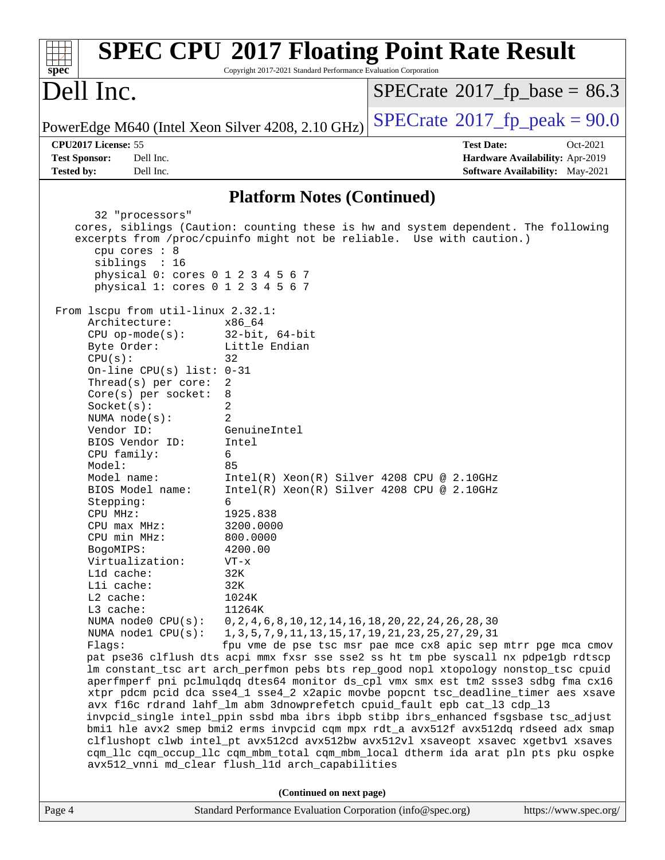| Copyright 2017-2021 Standard Performance Evaluation Corporation<br>$spec^*$                                                                                                                                                                                                                                                                                                                                                                                                                                                                                                                                                                                                                                                                                                                                                                                                                                                                                                                                                                                                                           |  |  |  |  |  |  |
|-------------------------------------------------------------------------------------------------------------------------------------------------------------------------------------------------------------------------------------------------------------------------------------------------------------------------------------------------------------------------------------------------------------------------------------------------------------------------------------------------------------------------------------------------------------------------------------------------------------------------------------------------------------------------------------------------------------------------------------------------------------------------------------------------------------------------------------------------------------------------------------------------------------------------------------------------------------------------------------------------------------------------------------------------------------------------------------------------------|--|--|--|--|--|--|
| Dell Inc.<br>$SPECrate^{\circ}2017$ _fp_base = 86.3                                                                                                                                                                                                                                                                                                                                                                                                                                                                                                                                                                                                                                                                                                                                                                                                                                                                                                                                                                                                                                                   |  |  |  |  |  |  |
| $SPECrate^{\circledcirc}2017$ fp peak = 90.0<br>PowerEdge M640 (Intel Xeon Silver 4208, 2.10 GHz)                                                                                                                                                                                                                                                                                                                                                                                                                                                                                                                                                                                                                                                                                                                                                                                                                                                                                                                                                                                                     |  |  |  |  |  |  |
| CPU2017 License: 55<br><b>Test Date:</b><br>Oct-2021<br><b>Test Sponsor:</b><br>Dell Inc.<br>Hardware Availability: Apr-2019<br><b>Tested by:</b><br>Dell Inc.<br><b>Software Availability:</b> May-2021                                                                                                                                                                                                                                                                                                                                                                                                                                                                                                                                                                                                                                                                                                                                                                                                                                                                                              |  |  |  |  |  |  |
| <b>Platform Notes (Continued)</b>                                                                                                                                                                                                                                                                                                                                                                                                                                                                                                                                                                                                                                                                                                                                                                                                                                                                                                                                                                                                                                                                     |  |  |  |  |  |  |
| 32 "processors"<br>cores, siblings (Caution: counting these is hw and system dependent. The following<br>excerpts from /proc/cpuinfo might not be reliable. Use with caution.)<br>cpu cores : 8<br>siblings : 16<br>physical 0: cores 0 1 2 3 4 5 6 7<br>physical 1: cores 0 1 2 3 4 5 6 7<br>From 1scpu from util-linux 2.32.1:<br>Architecture:<br>x86 64<br>$32$ -bit, $64$ -bit<br>$CPU op-mode(s):$<br>Little Endian<br>Byte Order:<br>CPU(s):<br>32                                                                                                                                                                                                                                                                                                                                                                                                                                                                                                                                                                                                                                             |  |  |  |  |  |  |
| On-line CPU(s) list: $0-31$<br>Thread(s) per core:<br>2<br>Core(s) per socket:<br>8<br>2<br>Socket(s):<br>2<br>NUMA $node(s)$ :<br>Vendor ID:<br>GenuineIntel<br>BIOS Vendor ID:<br>Intel<br>CPU family:<br>6<br>Model:<br>85<br>$Intel(R) Xeon(R) Silver 4208 CPU @ 2.10GHz$<br>Model name:<br>$Intel(R) Xeon(R) Silver 4208 CPU @ 2.10GHz$<br>BIOS Model name:                                                                                                                                                                                                                                                                                                                                                                                                                                                                                                                                                                                                                                                                                                                                      |  |  |  |  |  |  |
| Stepping:<br>6<br>1925.838<br>CPU MHz:<br>3200.0000<br>CPU max MHz:<br>CPU min MHz:<br>800.0000<br>4200.00<br>BogoMIPS:<br>Virtualization:<br>$VT - x$<br>L1d cache:<br>32K<br>Lli cache:<br>32K<br>$L2$ cache:<br>1024K<br>L3 cache:<br>11264K                                                                                                                                                                                                                                                                                                                                                                                                                                                                                                                                                                                                                                                                                                                                                                                                                                                       |  |  |  |  |  |  |
| NUMA node0 CPU(s):<br>0, 2, 4, 6, 8, 10, 12, 14, 16, 18, 20, 22, 24, 26, 28, 30<br>NUMA $node1$ $CPU(s):$<br>1, 3, 5, 7, 9, 11, 13, 15, 17, 19, 21, 23, 25, 27, 29, 31<br>Flags:<br>fpu vme de pse tsc msr pae mce cx8 apic sep mtrr pge mca cmov<br>pat pse36 clflush dts acpi mmx fxsr sse sse2 ss ht tm pbe syscall nx pdpe1gb rdtscp<br>lm constant_tsc art arch_perfmon pebs bts rep_good nopl xtopology nonstop_tsc cpuid<br>aperfmperf pni pclmulqdq dtes64 monitor ds_cpl vmx smx est tm2 ssse3 sdbg fma cx16<br>xtpr pdcm pcid dca sse4_1 sse4_2 x2apic movbe popcnt tsc_deadline_timer aes xsave<br>avx f16c rdrand lahf_lm abm 3dnowprefetch cpuid_fault epb cat_13 cdp_13<br>invpcid_single intel_ppin ssbd mba ibrs ibpb stibp ibrs_enhanced fsgsbase tsc_adjust<br>bmil hle avx2 smep bmi2 erms invpcid cqm mpx rdt_a avx512f avx512dq rdseed adx smap<br>clflushopt clwb intel_pt avx512cd avx512bw avx512vl xsaveopt xsavec xgetbvl xsaves<br>cqm_llc cqm_occup_llc cqm_mbm_total cqm_mbm_local dtherm ida arat pln pts pku ospke<br>avx512_vnni md_clear flush_l1d arch_capabilities |  |  |  |  |  |  |
| (Continued on next page)<br>Standard Performance Evaluation Corporation (info@spec.org)<br>https://www.spec.org/<br>Page 4                                                                                                                                                                                                                                                                                                                                                                                                                                                                                                                                                                                                                                                                                                                                                                                                                                                                                                                                                                            |  |  |  |  |  |  |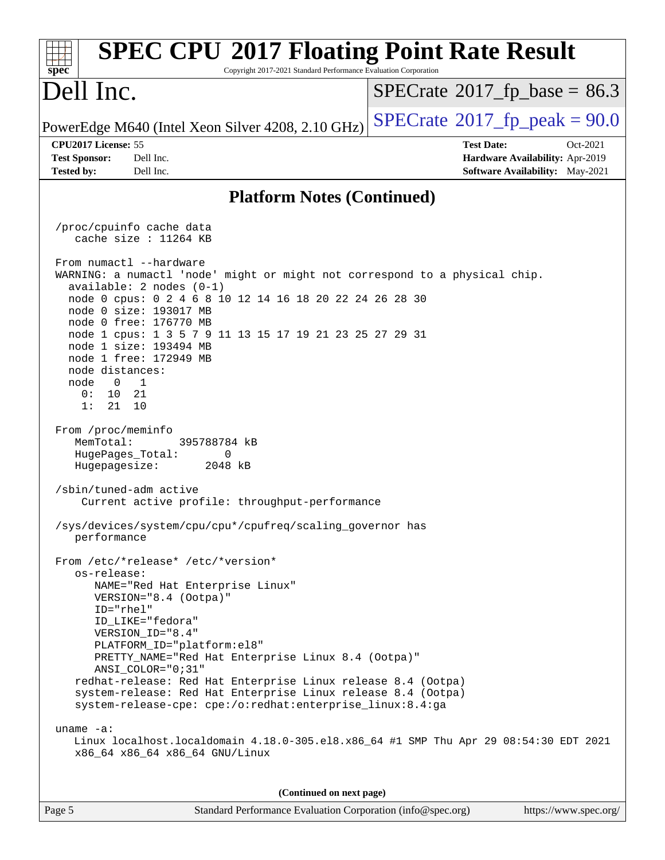#### **[spec](http://www.spec.org/) [SPEC CPU](http://www.spec.org/auto/cpu2017/Docs/result-fields.html#SPECCPU2017FloatingPointRateResult)[2017 Floating Point Rate Result](http://www.spec.org/auto/cpu2017/Docs/result-fields.html#SPECCPU2017FloatingPointRateResult)** Copyright 2017-2021 Standard Performance Evaluation Corporation Dell Inc. PowerEdge M640 (Intel Xeon Silver 4208, 2.10 GHz)  $\text{SPECrate}^{\circ}2017$  $\text{SPECrate}^{\circ}2017$  $\text{SPECrate}^{\circ}2017$  [p\_peak = 90.0  $SPECTate@2017_fp\_base = 86.3$ **[CPU2017 License:](http://www.spec.org/auto/cpu2017/Docs/result-fields.html#CPU2017License)** 55 **[Test Date:](http://www.spec.org/auto/cpu2017/Docs/result-fields.html#TestDate)** Oct-2021 **[Test Sponsor:](http://www.spec.org/auto/cpu2017/Docs/result-fields.html#TestSponsor)** Dell Inc. **[Hardware Availability:](http://www.spec.org/auto/cpu2017/Docs/result-fields.html#HardwareAvailability)** Apr-2019 **[Tested by:](http://www.spec.org/auto/cpu2017/Docs/result-fields.html#Testedby)** Dell Inc. **[Software Availability:](http://www.spec.org/auto/cpu2017/Docs/result-fields.html#SoftwareAvailability)** May-2021 **[Platform Notes \(Continued\)](http://www.spec.org/auto/cpu2017/Docs/result-fields.html#PlatformNotes)** /proc/cpuinfo cache data cache size : 11264 KB From numactl --hardware WARNING: a numactl 'node' might or might not correspond to a physical chip. available: 2 nodes (0-1) node 0 cpus: 0 2 4 6 8 10 12 14 16 18 20 22 24 26 28 30 node 0 size: 193017 MB node 0 free: 176770 MB node 1 cpus: 1 3 5 7 9 11 13 15 17 19 21 23 25 27 29 31 node 1 size: 193494 MB node 1 free: 172949 MB node distances: node 0 1 0: 10 21 1: 21 10 From /proc/meminfo MemTotal: 395788784 kB HugePages\_Total: 0 Hugepagesize: 2048 kB /sbin/tuned-adm active Current active profile: throughput-performance /sys/devices/system/cpu/cpu\*/cpufreq/scaling\_governor has performance From /etc/\*release\* /etc/\*version\* os-release: NAME="Red Hat Enterprise Linux" VERSION="8.4 (Ootpa)" ID="rhel" ID\_LIKE="fedora" VERSION\_ID="8.4" PLATFORM\_ID="platform:el8" PRETTY\_NAME="Red Hat Enterprise Linux 8.4 (Ootpa)" ANSI\_COLOR="0;31" redhat-release: Red Hat Enterprise Linux release 8.4 (Ootpa) system-release: Red Hat Enterprise Linux release 8.4 (Ootpa) system-release-cpe: cpe:/o:redhat:enterprise\_linux:8.4:ga uname -a: Linux localhost.localdomain 4.18.0-305.el8.x86\_64 #1 SMP Thu Apr 29 08:54:30 EDT 2021 x86\_64 x86\_64 x86\_64 GNU/Linux **(Continued on next page)**

Page 5 Standard Performance Evaluation Corporation [\(info@spec.org\)](mailto:info@spec.org) <https://www.spec.org/>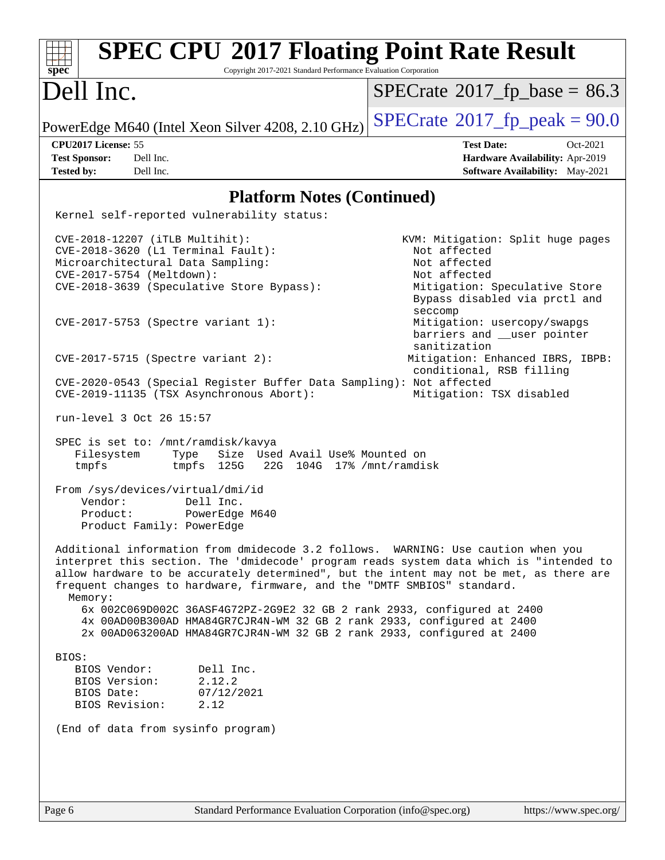| <b>SPEC CPU®2017 Floating Point Rate Result</b><br>spec<br>Copyright 2017-2021 Standard Performance Evaluation Corporation                                                                                                                                                                                                                                                                                                                                                                                                                                                                                                                                                                                                                                                                                                                                                                                                                                                                                                                                                                                                                                                                                                                                                                      |                                                                                                                                                                                                                                                                                                                                          |
|-------------------------------------------------------------------------------------------------------------------------------------------------------------------------------------------------------------------------------------------------------------------------------------------------------------------------------------------------------------------------------------------------------------------------------------------------------------------------------------------------------------------------------------------------------------------------------------------------------------------------------------------------------------------------------------------------------------------------------------------------------------------------------------------------------------------------------------------------------------------------------------------------------------------------------------------------------------------------------------------------------------------------------------------------------------------------------------------------------------------------------------------------------------------------------------------------------------------------------------------------------------------------------------------------|------------------------------------------------------------------------------------------------------------------------------------------------------------------------------------------------------------------------------------------------------------------------------------------------------------------------------------------|
| Dell Inc.                                                                                                                                                                                                                                                                                                                                                                                                                                                                                                                                                                                                                                                                                                                                                                                                                                                                                                                                                                                                                                                                                                                                                                                                                                                                                       | $SPECrate^{\circ}2017_fp\_base = 86.3$                                                                                                                                                                                                                                                                                                   |
| PowerEdge M640 (Intel Xeon Silver 4208, 2.10 GHz)                                                                                                                                                                                                                                                                                                                                                                                                                                                                                                                                                                                                                                                                                                                                                                                                                                                                                                                                                                                                                                                                                                                                                                                                                                               | $SPECrate^{\circ}2017$ fp peak = 90.0                                                                                                                                                                                                                                                                                                    |
| CPU2017 License: 55                                                                                                                                                                                                                                                                                                                                                                                                                                                                                                                                                                                                                                                                                                                                                                                                                                                                                                                                                                                                                                                                                                                                                                                                                                                                             | <b>Test Date:</b><br>Oct-2021                                                                                                                                                                                                                                                                                                            |
| <b>Test Sponsor:</b><br>Dell Inc.                                                                                                                                                                                                                                                                                                                                                                                                                                                                                                                                                                                                                                                                                                                                                                                                                                                                                                                                                                                                                                                                                                                                                                                                                                                               | Hardware Availability: Apr-2019                                                                                                                                                                                                                                                                                                          |
| Dell Inc.<br><b>Tested by:</b>                                                                                                                                                                                                                                                                                                                                                                                                                                                                                                                                                                                                                                                                                                                                                                                                                                                                                                                                                                                                                                                                                                                                                                                                                                                                  | Software Availability: May-2021                                                                                                                                                                                                                                                                                                          |
| <b>Platform Notes (Continued)</b>                                                                                                                                                                                                                                                                                                                                                                                                                                                                                                                                                                                                                                                                                                                                                                                                                                                                                                                                                                                                                                                                                                                                                                                                                                                               |                                                                                                                                                                                                                                                                                                                                          |
| Kernel self-reported vulnerability status:                                                                                                                                                                                                                                                                                                                                                                                                                                                                                                                                                                                                                                                                                                                                                                                                                                                                                                                                                                                                                                                                                                                                                                                                                                                      |                                                                                                                                                                                                                                                                                                                                          |
| CVE-2018-12207 (iTLB Multihit):<br>CVE-2018-3620 (L1 Terminal Fault):<br>Microarchitectural Data Sampling:<br>CVE-2017-5754 (Meltdown):<br>CVE-2018-3639 (Speculative Store Bypass):<br>CVE-2017-5753 (Spectre variant 1):<br>$CVE-2017-5715$ (Spectre variant 2):<br>CVE-2020-0543 (Special Register Buffer Data Sampling): Not affected<br>CVE-2019-11135 (TSX Asynchronous Abort):<br>run-level 3 Oct 26 15:57<br>SPEC is set to: /mnt/ramdisk/kavya<br>Filesystem<br>Size Used Avail Use% Mounted on<br>Type<br>125G<br>22G 104G 17% / mnt/ramdisk<br>tmpfs<br>tmpfs<br>From /sys/devices/virtual/dmi/id<br>Vendor:<br>Dell Inc.<br>Product:<br>PowerEdge M640<br>Product Family: PowerEdge<br>Additional information from dmidecode 3.2 follows. WARNING: Use caution when you<br>interpret this section. The 'dmidecode' program reads system data which is "intended to<br>allow hardware to be accurately determined", but the intent may not be met, as there are<br>frequent changes to hardware, firmware, and the "DMTF SMBIOS" standard.<br>Memory:<br>6x 002C069D002C 36ASF4G72PZ-2G9E2 32 GB 2 rank 2933, configured at 2400<br>4x 00AD00B300AD HMA84GR7CJR4N-WM 32 GB 2 rank 2933, configured at 2400<br>2x 00AD063200AD HMA84GR7CJR4N-WM 32 GB 2 rank 2933, configured at 2400 | KVM: Mitigation: Split huge pages<br>Not affected<br>Not affected<br>Not affected<br>Mitigation: Speculative Store<br>Bypass disabled via prctl and<br>seccomp<br>Mitigation: usercopy/swapgs<br>barriers and __user pointer<br>sanitization<br>Mitigation: Enhanced IBRS, IBPB:<br>conditional, RSB filling<br>Mitigation: TSX disabled |
| BIOS:<br>BIOS Vendor:<br>Dell Inc.<br>BIOS Version:<br>2.12.2                                                                                                                                                                                                                                                                                                                                                                                                                                                                                                                                                                                                                                                                                                                                                                                                                                                                                                                                                                                                                                                                                                                                                                                                                                   |                                                                                                                                                                                                                                                                                                                                          |
| BIOS Date:<br>07/12/2021<br>BIOS Revision:<br>2.12                                                                                                                                                                                                                                                                                                                                                                                                                                                                                                                                                                                                                                                                                                                                                                                                                                                                                                                                                                                                                                                                                                                                                                                                                                              |                                                                                                                                                                                                                                                                                                                                          |
| (End of data from sysinfo program)                                                                                                                                                                                                                                                                                                                                                                                                                                                                                                                                                                                                                                                                                                                                                                                                                                                                                                                                                                                                                                                                                                                                                                                                                                                              |                                                                                                                                                                                                                                                                                                                                          |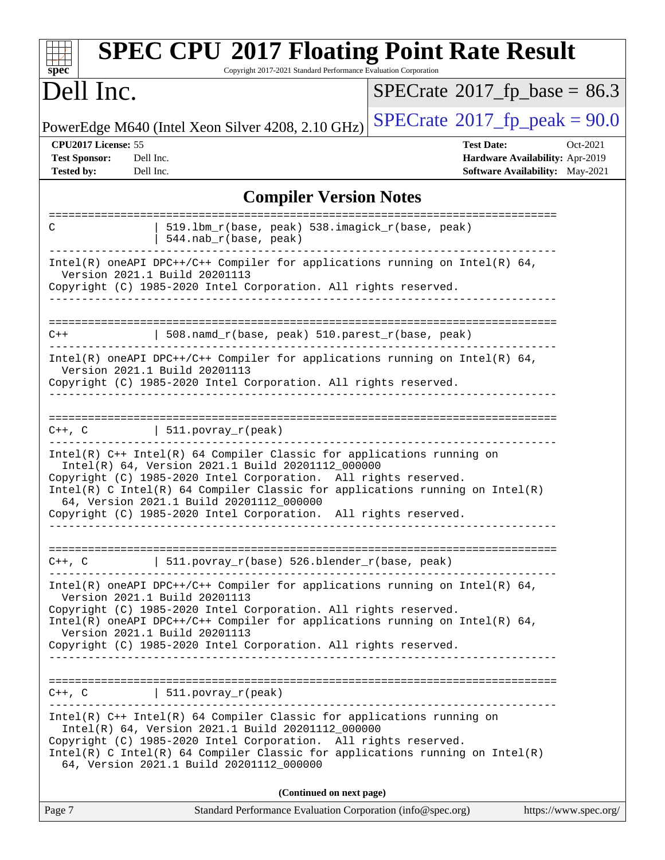| <b>SPEC CPU®2017 Floating Point Rate Result</b><br>Copyright 2017-2021 Standard Performance Evaluation Corporation<br>$\mathbf{Spec}^*$                                                                                                                                                                                                                                                        |                                                                                                            |  |  |  |  |
|------------------------------------------------------------------------------------------------------------------------------------------------------------------------------------------------------------------------------------------------------------------------------------------------------------------------------------------------------------------------------------------------|------------------------------------------------------------------------------------------------------------|--|--|--|--|
| Dell Inc.                                                                                                                                                                                                                                                                                                                                                                                      | $SPECrate^{\circ}2017$ [p base = 86.3                                                                      |  |  |  |  |
| PowerEdge M640 (Intel Xeon Silver 4208, 2.10 GHz)                                                                                                                                                                                                                                                                                                                                              | $SPECTate$ <sup>®</sup> 2017_fp_peak = 90.0                                                                |  |  |  |  |
| CPU2017 License: 55<br><b>Test Sponsor:</b><br>Dell Inc.<br><b>Tested by:</b><br>Dell Inc.                                                                                                                                                                                                                                                                                                     | <b>Test Date:</b><br>Oct-2021<br>Hardware Availability: Apr-2019<br><b>Software Availability:</b> May-2021 |  |  |  |  |
| <b>Compiler Version Notes</b>                                                                                                                                                                                                                                                                                                                                                                  |                                                                                                            |  |  |  |  |
| 519.1bm_r(base, peak) 538.imagick_r(base, peak)<br>C<br>544.nab_r(base, peak)                                                                                                                                                                                                                                                                                                                  |                                                                                                            |  |  |  |  |
| Intel(R) oneAPI DPC++/C++ Compiler for applications running on Intel(R) $64$ ,<br>Version 2021.1 Build 20201113<br>Copyright (C) 1985-2020 Intel Corporation. All rights reserved.                                                                                                                                                                                                             |                                                                                                            |  |  |  |  |
| 508.namd_r(base, peak) 510.parest_r(base, peak)<br>$C++$                                                                                                                                                                                                                                                                                                                                       |                                                                                                            |  |  |  |  |
| Intel(R) oneAPI DPC++/C++ Compiler for applications running on Intel(R) $64$ ,<br>Version 2021.1 Build 20201113<br>Copyright (C) 1985-2020 Intel Corporation. All rights reserved.                                                                                                                                                                                                             |                                                                                                            |  |  |  |  |
| 511.povray_r(peak)<br>C++, C                                                                                                                                                                                                                                                                                                                                                                   |                                                                                                            |  |  |  |  |
| $Intel(R)$ C++ Intel(R) 64 Compiler Classic for applications running on<br>Intel(R) 64, Version 2021.1 Build 20201112_000000<br>Copyright (C) 1985-2020 Intel Corporation. All rights reserved.<br>Intel(R) C Intel(R) 64 Compiler Classic for applications running on Intel(R)<br>64, Version 2021.1 Build 20201112_000000<br>Copyright (C) 1985-2020 Intel Corporation. All rights reserved. |                                                                                                            |  |  |  |  |
| =================<br>  511.povray_r(base) 526.blender_r(base, peak)<br>C++, C                                                                                                                                                                                                                                                                                                                  |                                                                                                            |  |  |  |  |
| $Intel(R)$ oneAPI DPC++/C++ Compiler for applications running on Intel(R) 64,<br>Version 2021.1 Build 20201113<br>Copyright (C) 1985-2020 Intel Corporation. All rights reserved.<br>Intel(R) oneAPI DPC++/C++ Compiler for applications running on Intel(R) 64,<br>Version 2021.1 Build 20201113<br>Copyright (C) 1985-2020 Intel Corporation. All rights reserved.                           |                                                                                                            |  |  |  |  |
| C++, C<br>$\vert$ 511.povray_r(peak)                                                                                                                                                                                                                                                                                                                                                           |                                                                                                            |  |  |  |  |
| Intel(R) C++ Intel(R) 64 Compiler Classic for applications running on<br>Intel(R) 64, Version 2021.1 Build 20201112_000000<br>Copyright (C) 1985-2020 Intel Corporation. All rights reserved.<br>$Intel(R)$ C Intel(R) 64 Compiler Classic for applications running on Intel(R)<br>64, Version 2021.1 Build 20201112_000000                                                                    |                                                                                                            |  |  |  |  |
| (Continued on next page)                                                                                                                                                                                                                                                                                                                                                                       |                                                                                                            |  |  |  |  |

| Page 7 | Standard Performance Evaluation Corporation (info@spec.org) | https://www.spec.org/ |
|--------|-------------------------------------------------------------|-----------------------|
|        |                                                             |                       |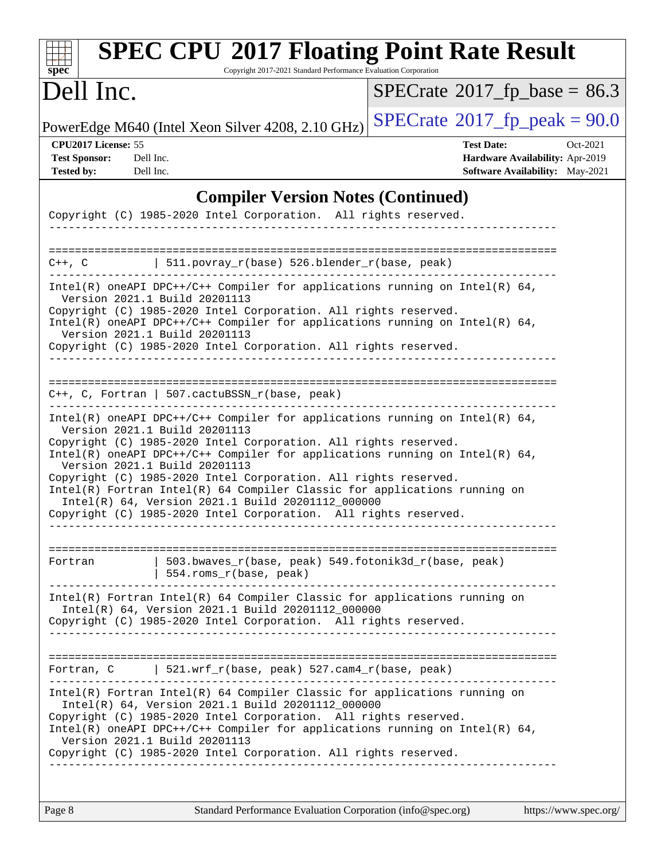| Dell Inc.                                                                                                                                                                                                                              |                                                   |                                                                                                                                                                  | $SPECTate$ <sup>®</sup> 2017_fp_base = 86.3                                                                       |
|----------------------------------------------------------------------------------------------------------------------------------------------------------------------------------------------------------------------------------------|---------------------------------------------------|------------------------------------------------------------------------------------------------------------------------------------------------------------------|-------------------------------------------------------------------------------------------------------------------|
| PowerEdge M640 (Intel Xeon Silver 4208, 2.10 GHz)                                                                                                                                                                                      |                                                   |                                                                                                                                                                  | $SPECrate^{\circ}2017$ [p_peak = 90.0                                                                             |
| CPU2017 License: 55<br><b>Test Sponsor:</b><br>Dell Inc.<br><b>Tested by:</b><br>Dell Inc.                                                                                                                                             |                                                   |                                                                                                                                                                  | <b>Test Date:</b><br>Oct-2021<br><b>Hardware Availability: Apr-2019</b><br><b>Software Availability:</b> May-2021 |
| Copyright (C) 1985-2020 Intel Corporation. All rights reserved.                                                                                                                                                                        |                                                   | <b>Compiler Version Notes (Continued)</b>                                                                                                                        |                                                                                                                   |
| C++, C                                                                                                                                                                                                                                 | 511.povray_r(base) 526.blender_r(base, peak)      |                                                                                                                                                                  |                                                                                                                   |
| Version 2021.1 Build 20201113<br>Copyright (C) 1985-2020 Intel Corporation. All rights reserved.<br>Version 2021.1 Build 20201113<br>Copyright (C) 1985-2020 Intel Corporation. All rights reserved.                                   |                                                   | Intel(R) oneAPI DPC++/C++ Compiler for applications running on Intel(R) $64$ ,<br>Intel(R) oneAPI DPC++/C++ Compiler for applications running on Intel(R) $64$ , |                                                                                                                   |
| $C++$ , C, Fortran   507.cactuBSSN_r(base, peak)<br>Version 2021.1 Build 20201113                                                                                                                                                      |                                                   | Intel(R) oneAPI DPC++/C++ Compiler for applications running on Intel(R) $64$ ,                                                                                   |                                                                                                                   |
| Copyright (C) 1985-2020 Intel Corporation. All rights reserved.<br>Version 2021.1 Build 20201113<br>Copyright (C) 1985-2020 Intel Corporation. All rights reserved.<br>Copyright (C) 1985-2020 Intel Corporation. All rights reserved. | Intel(R) 64, Version 2021.1 Build 20201112_000000 | Intel(R) oneAPI DPC++/C++ Compiler for applications running on Intel(R) $64$ ,<br>Intel(R) Fortran Intel(R) 64 Compiler Classic for applications running on      |                                                                                                                   |
| Fortran                                                                                                                                                                                                                                | 554.roms_r(base, peak)                            | 503.bwaves_r(base, peak) 549.fotonik3d_r(base, peak)                                                                                                             |                                                                                                                   |
|                                                                                                                                                                                                                                        | Intel(R) 64, Version 2021.1 Build 20201112_000000 | Intel(R) Fortran Intel(R) 64 Compiler Classic for applications running on<br>Copyright (C) 1985-2020 Intel Corporation. All rights reserved.                     |                                                                                                                   |
| Fortran, C $\vert$ 521.wrf_r(base, peak) 527.cam4_r(base, peak)                                                                                                                                                                        | -----------------------------                     |                                                                                                                                                                  |                                                                                                                   |
| Copyright (C) 1985-2020 Intel Corporation. All rights reserved.<br>Version 2021.1 Build 20201113<br>Copyright (C) 1985-2020 Intel Corporation. All rights reserved.                                                                    | Intel(R) 64, Version 2021.1 Build 20201112_000000 | Intel(R) Fortran Intel(R) 64 Compiler Classic for applications running on<br>Intel(R) oneAPI DPC++/C++ Compiler for applications running on Intel(R) $64$ ,      |                                                                                                                   |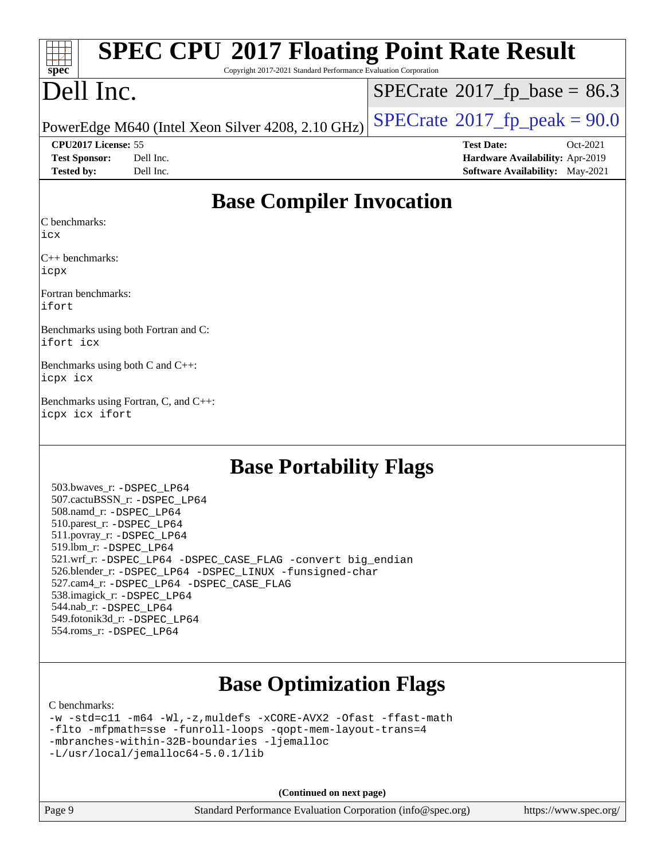| $\frac{1}{\sqrt{2}}$<br><b>SPEC CPU®2017 Floating Point Rate Result</b>                          |                                               |
|--------------------------------------------------------------------------------------------------|-----------------------------------------------|
| $spec*$<br>Copyright 2017-2021 Standard Performance Evaluation Corporation                       |                                               |
| Dell Inc.                                                                                        | $SPECrate^{\circledcirc}2017_fp\_base = 86.3$ |
| PowerEdge M640 (Intel Xeon Silver 4208, 2.10 GHz) $\text{SPECrate}^{\otimes}2017$ fp peak = 90.0 |                                               |

**[CPU2017 License:](http://www.spec.org/auto/cpu2017/Docs/result-fields.html#CPU2017License)** 55 **[Test Date:](http://www.spec.org/auto/cpu2017/Docs/result-fields.html#TestDate)** Oct-2021 **[Test Sponsor:](http://www.spec.org/auto/cpu2017/Docs/result-fields.html#TestSponsor)** Dell Inc. **[Hardware Availability:](http://www.spec.org/auto/cpu2017/Docs/result-fields.html#HardwareAvailability)** Apr-2019 **[Tested by:](http://www.spec.org/auto/cpu2017/Docs/result-fields.html#Testedby)** Dell Inc. **[Software Availability:](http://www.spec.org/auto/cpu2017/Docs/result-fields.html#SoftwareAvailability)** May-2021

### **[Base Compiler Invocation](http://www.spec.org/auto/cpu2017/Docs/result-fields.html#BaseCompilerInvocation)**

[C benchmarks](http://www.spec.org/auto/cpu2017/Docs/result-fields.html#Cbenchmarks):

[icx](http://www.spec.org/cpu2017/results/res2021q4/cpu2017-20211108-29992.flags.html#user_CCbase_intel_icx_fe2d28d19ae2a5db7c42fe0f2a2aed77cb715edd4aeb23434404a8be6683fe239869bb6ca8154ca98265c2e3b9226a719a0efe2953a4a7018c379b7010ccf087)

[C++ benchmarks](http://www.spec.org/auto/cpu2017/Docs/result-fields.html#CXXbenchmarks): [icpx](http://www.spec.org/cpu2017/results/res2021q4/cpu2017-20211108-29992.flags.html#user_CXXbase_intel_icpx_1e918ed14c436bf4b9b7c8bcdd51d4539fc71b3df010bd1e9f8732d9c34c2b2914e48204a846820f3c0ebb4095dea797a5c30b458ac0b6dffac65d78f781f5ca)

[Fortran benchmarks:](http://www.spec.org/auto/cpu2017/Docs/result-fields.html#Fortranbenchmarks) [ifort](http://www.spec.org/cpu2017/results/res2021q4/cpu2017-20211108-29992.flags.html#user_FCbase_intel_ifort_8111460550e3ca792625aed983ce982f94888b8b503583aa7ba2b8303487b4d8a21a13e7191a45c5fd58ff318f48f9492884d4413fa793fd88dd292cad7027ca)

[Benchmarks using both Fortran and C](http://www.spec.org/auto/cpu2017/Docs/result-fields.html#BenchmarksusingbothFortranandC): [ifort](http://www.spec.org/cpu2017/results/res2021q4/cpu2017-20211108-29992.flags.html#user_CC_FCbase_intel_ifort_8111460550e3ca792625aed983ce982f94888b8b503583aa7ba2b8303487b4d8a21a13e7191a45c5fd58ff318f48f9492884d4413fa793fd88dd292cad7027ca) [icx](http://www.spec.org/cpu2017/results/res2021q4/cpu2017-20211108-29992.flags.html#user_CC_FCbase_intel_icx_fe2d28d19ae2a5db7c42fe0f2a2aed77cb715edd4aeb23434404a8be6683fe239869bb6ca8154ca98265c2e3b9226a719a0efe2953a4a7018c379b7010ccf087)

[Benchmarks using both C and C++:](http://www.spec.org/auto/cpu2017/Docs/result-fields.html#BenchmarksusingbothCandCXX) [icpx](http://www.spec.org/cpu2017/results/res2021q4/cpu2017-20211108-29992.flags.html#user_CC_CXXbase_intel_icpx_1e918ed14c436bf4b9b7c8bcdd51d4539fc71b3df010bd1e9f8732d9c34c2b2914e48204a846820f3c0ebb4095dea797a5c30b458ac0b6dffac65d78f781f5ca) [icx](http://www.spec.org/cpu2017/results/res2021q4/cpu2017-20211108-29992.flags.html#user_CC_CXXbase_intel_icx_fe2d28d19ae2a5db7c42fe0f2a2aed77cb715edd4aeb23434404a8be6683fe239869bb6ca8154ca98265c2e3b9226a719a0efe2953a4a7018c379b7010ccf087)

[Benchmarks using Fortran, C, and C++](http://www.spec.org/auto/cpu2017/Docs/result-fields.html#BenchmarksusingFortranCandCXX): [icpx](http://www.spec.org/cpu2017/results/res2021q4/cpu2017-20211108-29992.flags.html#user_CC_CXX_FCbase_intel_icpx_1e918ed14c436bf4b9b7c8bcdd51d4539fc71b3df010bd1e9f8732d9c34c2b2914e48204a846820f3c0ebb4095dea797a5c30b458ac0b6dffac65d78f781f5ca) [icx](http://www.spec.org/cpu2017/results/res2021q4/cpu2017-20211108-29992.flags.html#user_CC_CXX_FCbase_intel_icx_fe2d28d19ae2a5db7c42fe0f2a2aed77cb715edd4aeb23434404a8be6683fe239869bb6ca8154ca98265c2e3b9226a719a0efe2953a4a7018c379b7010ccf087) [ifort](http://www.spec.org/cpu2017/results/res2021q4/cpu2017-20211108-29992.flags.html#user_CC_CXX_FCbase_intel_ifort_8111460550e3ca792625aed983ce982f94888b8b503583aa7ba2b8303487b4d8a21a13e7191a45c5fd58ff318f48f9492884d4413fa793fd88dd292cad7027ca)

## **[Base Portability Flags](http://www.spec.org/auto/cpu2017/Docs/result-fields.html#BasePortabilityFlags)**

 503.bwaves\_r: [-DSPEC\\_LP64](http://www.spec.org/cpu2017/results/res2021q4/cpu2017-20211108-29992.flags.html#suite_basePORTABILITY503_bwaves_r_DSPEC_LP64) 507.cactuBSSN\_r: [-DSPEC\\_LP64](http://www.spec.org/cpu2017/results/res2021q4/cpu2017-20211108-29992.flags.html#suite_basePORTABILITY507_cactuBSSN_r_DSPEC_LP64) 508.namd\_r: [-DSPEC\\_LP64](http://www.spec.org/cpu2017/results/res2021q4/cpu2017-20211108-29992.flags.html#suite_basePORTABILITY508_namd_r_DSPEC_LP64) 510.parest\_r: [-DSPEC\\_LP64](http://www.spec.org/cpu2017/results/res2021q4/cpu2017-20211108-29992.flags.html#suite_basePORTABILITY510_parest_r_DSPEC_LP64) 511.povray\_r: [-DSPEC\\_LP64](http://www.spec.org/cpu2017/results/res2021q4/cpu2017-20211108-29992.flags.html#suite_basePORTABILITY511_povray_r_DSPEC_LP64) 519.lbm\_r: [-DSPEC\\_LP64](http://www.spec.org/cpu2017/results/res2021q4/cpu2017-20211108-29992.flags.html#suite_basePORTABILITY519_lbm_r_DSPEC_LP64) 521.wrf\_r: [-DSPEC\\_LP64](http://www.spec.org/cpu2017/results/res2021q4/cpu2017-20211108-29992.flags.html#suite_basePORTABILITY521_wrf_r_DSPEC_LP64) [-DSPEC\\_CASE\\_FLAG](http://www.spec.org/cpu2017/results/res2021q4/cpu2017-20211108-29992.flags.html#b521.wrf_r_baseCPORTABILITY_DSPEC_CASE_FLAG) [-convert big\\_endian](http://www.spec.org/cpu2017/results/res2021q4/cpu2017-20211108-29992.flags.html#user_baseFPORTABILITY521_wrf_r_convert_big_endian_c3194028bc08c63ac5d04de18c48ce6d347e4e562e8892b8bdbdc0214820426deb8554edfa529a3fb25a586e65a3d812c835984020483e7e73212c4d31a38223) 526.blender\_r: [-DSPEC\\_LP64](http://www.spec.org/cpu2017/results/res2021q4/cpu2017-20211108-29992.flags.html#suite_basePORTABILITY526_blender_r_DSPEC_LP64) [-DSPEC\\_LINUX](http://www.spec.org/cpu2017/results/res2021q4/cpu2017-20211108-29992.flags.html#b526.blender_r_baseCPORTABILITY_DSPEC_LINUX) [-funsigned-char](http://www.spec.org/cpu2017/results/res2021q4/cpu2017-20211108-29992.flags.html#user_baseCPORTABILITY526_blender_r_force_uchar_40c60f00ab013830e2dd6774aeded3ff59883ba5a1fc5fc14077f794d777847726e2a5858cbc7672e36e1b067e7e5c1d9a74f7176df07886a243d7cc18edfe67) 527.cam4\_r: [-DSPEC\\_LP64](http://www.spec.org/cpu2017/results/res2021q4/cpu2017-20211108-29992.flags.html#suite_basePORTABILITY527_cam4_r_DSPEC_LP64) [-DSPEC\\_CASE\\_FLAG](http://www.spec.org/cpu2017/results/res2021q4/cpu2017-20211108-29992.flags.html#b527.cam4_r_baseCPORTABILITY_DSPEC_CASE_FLAG) 538.imagick\_r: [-DSPEC\\_LP64](http://www.spec.org/cpu2017/results/res2021q4/cpu2017-20211108-29992.flags.html#suite_basePORTABILITY538_imagick_r_DSPEC_LP64) 544.nab\_r: [-DSPEC\\_LP64](http://www.spec.org/cpu2017/results/res2021q4/cpu2017-20211108-29992.flags.html#suite_basePORTABILITY544_nab_r_DSPEC_LP64) 549.fotonik3d\_r: [-DSPEC\\_LP64](http://www.spec.org/cpu2017/results/res2021q4/cpu2017-20211108-29992.flags.html#suite_basePORTABILITY549_fotonik3d_r_DSPEC_LP64) 554.roms\_r: [-DSPEC\\_LP64](http://www.spec.org/cpu2017/results/res2021q4/cpu2017-20211108-29992.flags.html#suite_basePORTABILITY554_roms_r_DSPEC_LP64)

# **[Base Optimization Flags](http://www.spec.org/auto/cpu2017/Docs/result-fields.html#BaseOptimizationFlags)**

[C benchmarks](http://www.spec.org/auto/cpu2017/Docs/result-fields.html#Cbenchmarks):

[-w](http://www.spec.org/cpu2017/results/res2021q4/cpu2017-20211108-29992.flags.html#user_CCbase_supress_warning_66fb2c4e5c1dd10f38bdd29623979399e5ae75ae6e5453792d82ef66afed381df4a8602f92cac8d2ea0fffa7b93b4b1ccb9ecad4af01c9b2fe338b2082ae3859) [-std=c11](http://www.spec.org/cpu2017/results/res2021q4/cpu2017-20211108-29992.flags.html#user_CCbase_std-icc-std_0e1c27790398a4642dfca32ffe6c27b5796f9c2d2676156f2e42c9c44eaad0c049b1cdb667a270c34d979996257aeb8fc440bfb01818dbc9357bd9d174cb8524) [-m64](http://www.spec.org/cpu2017/results/res2021q4/cpu2017-20211108-29992.flags.html#user_CCbase_m64-icc) [-Wl,-z,muldefs](http://www.spec.org/cpu2017/results/res2021q4/cpu2017-20211108-29992.flags.html#user_CCbase_link_force_multiple1_b4cbdb97b34bdee9ceefcfe54f4c8ea74255f0b02a4b23e853cdb0e18eb4525ac79b5a88067c842dd0ee6996c24547a27a4b99331201badda8798ef8a743f577) [-xCORE-AVX2](http://www.spec.org/cpu2017/results/res2021q4/cpu2017-20211108-29992.flags.html#user_CCbase_f-xCORE-AVX2) [-Ofast](http://www.spec.org/cpu2017/results/res2021q4/cpu2017-20211108-29992.flags.html#user_CCbase_f-Ofast) [-ffast-math](http://www.spec.org/cpu2017/results/res2021q4/cpu2017-20211108-29992.flags.html#user_CCbase_f-ffast-math) [-flto](http://www.spec.org/cpu2017/results/res2021q4/cpu2017-20211108-29992.flags.html#user_CCbase_f-flto) [-mfpmath=sse](http://www.spec.org/cpu2017/results/res2021q4/cpu2017-20211108-29992.flags.html#user_CCbase_f-mfpmath_70eb8fac26bde974f8ab713bc9086c5621c0b8d2f6c86f38af0bd7062540daf19db5f3a066d8c6684be05d84c9b6322eb3b5be6619d967835195b93d6c02afa1) [-funroll-loops](http://www.spec.org/cpu2017/results/res2021q4/cpu2017-20211108-29992.flags.html#user_CCbase_f-funroll-loops) [-qopt-mem-layout-trans=4](http://www.spec.org/cpu2017/results/res2021q4/cpu2017-20211108-29992.flags.html#user_CCbase_f-qopt-mem-layout-trans_fa39e755916c150a61361b7846f310bcdf6f04e385ef281cadf3647acec3f0ae266d1a1d22d972a7087a248fd4e6ca390a3634700869573d231a252c784941a8) [-mbranches-within-32B-boundaries](http://www.spec.org/cpu2017/results/res2021q4/cpu2017-20211108-29992.flags.html#user_CCbase_f-mbranches-within-32B-boundaries) [-ljemalloc](http://www.spec.org/cpu2017/results/res2021q4/cpu2017-20211108-29992.flags.html#user_CCbase_jemalloc_link_lib_d1249b907c500fa1c0672f44f562e3d0f79738ae9e3c4a9c376d49f265a04b9c99b167ecedbf6711b3085be911c67ff61f150a17b3472be731631ba4d0471706) [-L/usr/local/jemalloc64-5.0.1/lib](http://www.spec.org/cpu2017/results/res2021q4/cpu2017-20211108-29992.flags.html#user_CCbase_jemalloc_link_path64_1_cc289568b1a6c0fd3b62c91b824c27fcb5af5e8098e6ad028160d21144ef1b8aef3170d2acf0bee98a8da324cfe4f67d0a3d0c4cc4673d993d694dc2a0df248b)

**(Continued on next page)**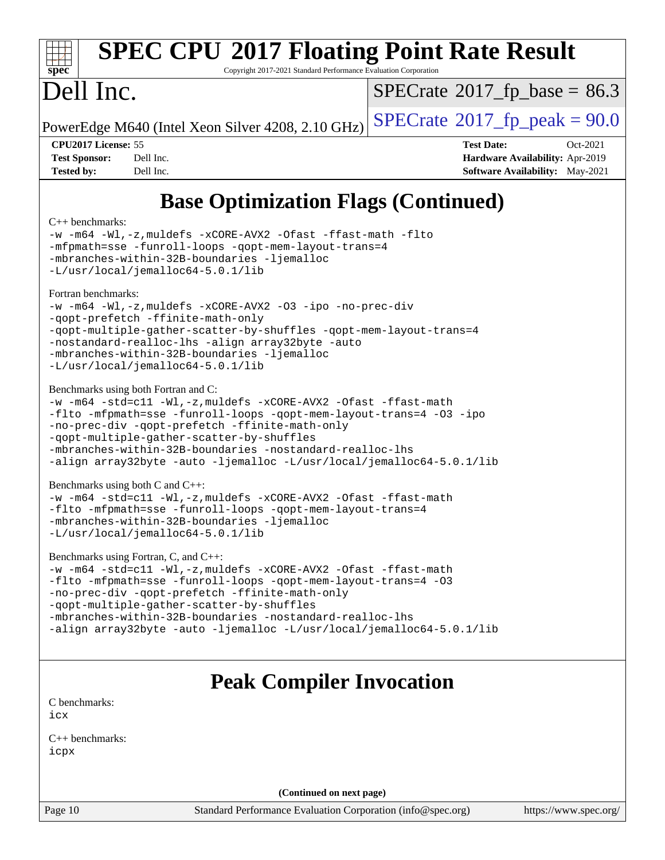

# **[SPEC CPU](http://www.spec.org/auto/cpu2017/Docs/result-fields.html#SPECCPU2017FloatingPointRateResult)[2017 Floating Point Rate Result](http://www.spec.org/auto/cpu2017/Docs/result-fields.html#SPECCPU2017FloatingPointRateResult)**

Copyright 2017-2021 Standard Performance Evaluation Corporation

# Dell Inc.

 $SPECTate@2017_fp\_base = 86.3$ 

PowerEdge M640 (Intel Xeon Silver 4208, 2.10 GHz)  $\text{SPECrate}^{\circ}2017$  $\text{SPECrate}^{\circ}2017$  $\text{SPECrate}^{\circ}2017$  [p\_peak = 90.0

**[CPU2017 License:](http://www.spec.org/auto/cpu2017/Docs/result-fields.html#CPU2017License)** 55 **[Test Date:](http://www.spec.org/auto/cpu2017/Docs/result-fields.html#TestDate)** Oct-2021 **[Test Sponsor:](http://www.spec.org/auto/cpu2017/Docs/result-fields.html#TestSponsor)** Dell Inc. **[Hardware Availability:](http://www.spec.org/auto/cpu2017/Docs/result-fields.html#HardwareAvailability)** Apr-2019 **[Tested by:](http://www.spec.org/auto/cpu2017/Docs/result-fields.html#Testedby)** Dell Inc. **[Software Availability:](http://www.spec.org/auto/cpu2017/Docs/result-fields.html#SoftwareAvailability)** May-2021

# **[Base Optimization Flags \(Continued\)](http://www.spec.org/auto/cpu2017/Docs/result-fields.html#BaseOptimizationFlags)**

#### [C++ benchmarks:](http://www.spec.org/auto/cpu2017/Docs/result-fields.html#CXXbenchmarks)

[-w](http://www.spec.org/cpu2017/results/res2021q4/cpu2017-20211108-29992.flags.html#user_CXXbase_supress_warning_66fb2c4e5c1dd10f38bdd29623979399e5ae75ae6e5453792d82ef66afed381df4a8602f92cac8d2ea0fffa7b93b4b1ccb9ecad4af01c9b2fe338b2082ae3859) [-m64](http://www.spec.org/cpu2017/results/res2021q4/cpu2017-20211108-29992.flags.html#user_CXXbase_m64-icc) [-Wl,-z,muldefs](http://www.spec.org/cpu2017/results/res2021q4/cpu2017-20211108-29992.flags.html#user_CXXbase_link_force_multiple1_b4cbdb97b34bdee9ceefcfe54f4c8ea74255f0b02a4b23e853cdb0e18eb4525ac79b5a88067c842dd0ee6996c24547a27a4b99331201badda8798ef8a743f577) [-xCORE-AVX2](http://www.spec.org/cpu2017/results/res2021q4/cpu2017-20211108-29992.flags.html#user_CXXbase_f-xCORE-AVX2) [-Ofast](http://www.spec.org/cpu2017/results/res2021q4/cpu2017-20211108-29992.flags.html#user_CXXbase_f-Ofast) [-ffast-math](http://www.spec.org/cpu2017/results/res2021q4/cpu2017-20211108-29992.flags.html#user_CXXbase_f-ffast-math) [-flto](http://www.spec.org/cpu2017/results/res2021q4/cpu2017-20211108-29992.flags.html#user_CXXbase_f-flto) [-mfpmath=sse](http://www.spec.org/cpu2017/results/res2021q4/cpu2017-20211108-29992.flags.html#user_CXXbase_f-mfpmath_70eb8fac26bde974f8ab713bc9086c5621c0b8d2f6c86f38af0bd7062540daf19db5f3a066d8c6684be05d84c9b6322eb3b5be6619d967835195b93d6c02afa1) [-funroll-loops](http://www.spec.org/cpu2017/results/res2021q4/cpu2017-20211108-29992.flags.html#user_CXXbase_f-funroll-loops) [-qopt-mem-layout-trans=4](http://www.spec.org/cpu2017/results/res2021q4/cpu2017-20211108-29992.flags.html#user_CXXbase_f-qopt-mem-layout-trans_fa39e755916c150a61361b7846f310bcdf6f04e385ef281cadf3647acec3f0ae266d1a1d22d972a7087a248fd4e6ca390a3634700869573d231a252c784941a8) [-mbranches-within-32B-boundaries](http://www.spec.org/cpu2017/results/res2021q4/cpu2017-20211108-29992.flags.html#user_CXXbase_f-mbranches-within-32B-boundaries) [-ljemalloc](http://www.spec.org/cpu2017/results/res2021q4/cpu2017-20211108-29992.flags.html#user_CXXbase_jemalloc_link_lib_d1249b907c500fa1c0672f44f562e3d0f79738ae9e3c4a9c376d49f265a04b9c99b167ecedbf6711b3085be911c67ff61f150a17b3472be731631ba4d0471706) [-L/usr/local/jemalloc64-5.0.1/lib](http://www.spec.org/cpu2017/results/res2021q4/cpu2017-20211108-29992.flags.html#user_CXXbase_jemalloc_link_path64_1_cc289568b1a6c0fd3b62c91b824c27fcb5af5e8098e6ad028160d21144ef1b8aef3170d2acf0bee98a8da324cfe4f67d0a3d0c4cc4673d993d694dc2a0df248b) [Fortran benchmarks](http://www.spec.org/auto/cpu2017/Docs/result-fields.html#Fortranbenchmarks): [-w](http://www.spec.org/cpu2017/results/res2021q4/cpu2017-20211108-29992.flags.html#user_FCbase_supress_warning_66fb2c4e5c1dd10f38bdd29623979399e5ae75ae6e5453792d82ef66afed381df4a8602f92cac8d2ea0fffa7b93b4b1ccb9ecad4af01c9b2fe338b2082ae3859) [-m64](http://www.spec.org/cpu2017/results/res2021q4/cpu2017-20211108-29992.flags.html#user_FCbase_m64-icc) [-Wl,-z,muldefs](http://www.spec.org/cpu2017/results/res2021q4/cpu2017-20211108-29992.flags.html#user_FCbase_link_force_multiple1_b4cbdb97b34bdee9ceefcfe54f4c8ea74255f0b02a4b23e853cdb0e18eb4525ac79b5a88067c842dd0ee6996c24547a27a4b99331201badda8798ef8a743f577) [-xCORE-AVX2](http://www.spec.org/cpu2017/results/res2021q4/cpu2017-20211108-29992.flags.html#user_FCbase_f-xCORE-AVX2) [-O3](http://www.spec.org/cpu2017/results/res2021q4/cpu2017-20211108-29992.flags.html#user_FCbase_f-O3) [-ipo](http://www.spec.org/cpu2017/results/res2021q4/cpu2017-20211108-29992.flags.html#user_FCbase_f-ipo) [-no-prec-div](http://www.spec.org/cpu2017/results/res2021q4/cpu2017-20211108-29992.flags.html#user_FCbase_f-no-prec-div) [-qopt-prefetch](http://www.spec.org/cpu2017/results/res2021q4/cpu2017-20211108-29992.flags.html#user_FCbase_f-qopt-prefetch) [-ffinite-math-only](http://www.spec.org/cpu2017/results/res2021q4/cpu2017-20211108-29992.flags.html#user_FCbase_f_finite_math_only_cb91587bd2077682c4b38af759c288ed7c732db004271a9512da14a4f8007909a5f1427ecbf1a0fb78ff2a814402c6114ac565ca162485bbcae155b5e4258871) [-qopt-multiple-gather-scatter-by-shuffles](http://www.spec.org/cpu2017/results/res2021q4/cpu2017-20211108-29992.flags.html#user_FCbase_f-qopt-multiple-gather-scatter-by-shuffles) [-qopt-mem-layout-trans=4](http://www.spec.org/cpu2017/results/res2021q4/cpu2017-20211108-29992.flags.html#user_FCbase_f-qopt-mem-layout-trans_fa39e755916c150a61361b7846f310bcdf6f04e385ef281cadf3647acec3f0ae266d1a1d22d972a7087a248fd4e6ca390a3634700869573d231a252c784941a8) [-nostandard-realloc-lhs](http://www.spec.org/cpu2017/results/res2021q4/cpu2017-20211108-29992.flags.html#user_FCbase_f_2003_std_realloc_82b4557e90729c0f113870c07e44d33d6f5a304b4f63d4c15d2d0f1fab99f5daaed73bdb9275d9ae411527f28b936061aa8b9c8f2d63842963b95c9dd6426b8a) [-align array32byte](http://www.spec.org/cpu2017/results/res2021q4/cpu2017-20211108-29992.flags.html#user_FCbase_align_array32byte_b982fe038af199962ba9a80c053b8342c548c85b40b8e86eb3cc33dee0d7986a4af373ac2d51c3f7cf710a18d62fdce2948f201cd044323541f22fc0fffc51b6) [-auto](http://www.spec.org/cpu2017/results/res2021q4/cpu2017-20211108-29992.flags.html#user_FCbase_f-auto) [-mbranches-within-32B-boundaries](http://www.spec.org/cpu2017/results/res2021q4/cpu2017-20211108-29992.flags.html#user_FCbase_f-mbranches-within-32B-boundaries) [-ljemalloc](http://www.spec.org/cpu2017/results/res2021q4/cpu2017-20211108-29992.flags.html#user_FCbase_jemalloc_link_lib_d1249b907c500fa1c0672f44f562e3d0f79738ae9e3c4a9c376d49f265a04b9c99b167ecedbf6711b3085be911c67ff61f150a17b3472be731631ba4d0471706) [-L/usr/local/jemalloc64-5.0.1/lib](http://www.spec.org/cpu2017/results/res2021q4/cpu2017-20211108-29992.flags.html#user_FCbase_jemalloc_link_path64_1_cc289568b1a6c0fd3b62c91b824c27fcb5af5e8098e6ad028160d21144ef1b8aef3170d2acf0bee98a8da324cfe4f67d0a3d0c4cc4673d993d694dc2a0df248b) [Benchmarks using both Fortran and C](http://www.spec.org/auto/cpu2017/Docs/result-fields.html#BenchmarksusingbothFortranandC): [-w](http://www.spec.org/cpu2017/results/res2021q4/cpu2017-20211108-29992.flags.html#user_CC_FCbase_supress_warning_66fb2c4e5c1dd10f38bdd29623979399e5ae75ae6e5453792d82ef66afed381df4a8602f92cac8d2ea0fffa7b93b4b1ccb9ecad4af01c9b2fe338b2082ae3859) [-m64](http://www.spec.org/cpu2017/results/res2021q4/cpu2017-20211108-29992.flags.html#user_CC_FCbase_m64-icc) [-std=c11](http://www.spec.org/cpu2017/results/res2021q4/cpu2017-20211108-29992.flags.html#user_CC_FCbase_std-icc-std_0e1c27790398a4642dfca32ffe6c27b5796f9c2d2676156f2e42c9c44eaad0c049b1cdb667a270c34d979996257aeb8fc440bfb01818dbc9357bd9d174cb8524) [-Wl,-z,muldefs](http://www.spec.org/cpu2017/results/res2021q4/cpu2017-20211108-29992.flags.html#user_CC_FCbase_link_force_multiple1_b4cbdb97b34bdee9ceefcfe54f4c8ea74255f0b02a4b23e853cdb0e18eb4525ac79b5a88067c842dd0ee6996c24547a27a4b99331201badda8798ef8a743f577) [-xCORE-AVX2](http://www.spec.org/cpu2017/results/res2021q4/cpu2017-20211108-29992.flags.html#user_CC_FCbase_f-xCORE-AVX2) [-Ofast](http://www.spec.org/cpu2017/results/res2021q4/cpu2017-20211108-29992.flags.html#user_CC_FCbase_f-Ofast) [-ffast-math](http://www.spec.org/cpu2017/results/res2021q4/cpu2017-20211108-29992.flags.html#user_CC_FCbase_f-ffast-math) [-flto](http://www.spec.org/cpu2017/results/res2021q4/cpu2017-20211108-29992.flags.html#user_CC_FCbase_f-flto) [-mfpmath=sse](http://www.spec.org/cpu2017/results/res2021q4/cpu2017-20211108-29992.flags.html#user_CC_FCbase_f-mfpmath_70eb8fac26bde974f8ab713bc9086c5621c0b8d2f6c86f38af0bd7062540daf19db5f3a066d8c6684be05d84c9b6322eb3b5be6619d967835195b93d6c02afa1) [-funroll-loops](http://www.spec.org/cpu2017/results/res2021q4/cpu2017-20211108-29992.flags.html#user_CC_FCbase_f-funroll-loops) [-qopt-mem-layout-trans=4](http://www.spec.org/cpu2017/results/res2021q4/cpu2017-20211108-29992.flags.html#user_CC_FCbase_f-qopt-mem-layout-trans_fa39e755916c150a61361b7846f310bcdf6f04e385ef281cadf3647acec3f0ae266d1a1d22d972a7087a248fd4e6ca390a3634700869573d231a252c784941a8) [-O3](http://www.spec.org/cpu2017/results/res2021q4/cpu2017-20211108-29992.flags.html#user_CC_FCbase_f-O3) [-ipo](http://www.spec.org/cpu2017/results/res2021q4/cpu2017-20211108-29992.flags.html#user_CC_FCbase_f-ipo) [-no-prec-div](http://www.spec.org/cpu2017/results/res2021q4/cpu2017-20211108-29992.flags.html#user_CC_FCbase_f-no-prec-div) [-qopt-prefetch](http://www.spec.org/cpu2017/results/res2021q4/cpu2017-20211108-29992.flags.html#user_CC_FCbase_f-qopt-prefetch) [-ffinite-math-only](http://www.spec.org/cpu2017/results/res2021q4/cpu2017-20211108-29992.flags.html#user_CC_FCbase_f_finite_math_only_cb91587bd2077682c4b38af759c288ed7c732db004271a9512da14a4f8007909a5f1427ecbf1a0fb78ff2a814402c6114ac565ca162485bbcae155b5e4258871) [-qopt-multiple-gather-scatter-by-shuffles](http://www.spec.org/cpu2017/results/res2021q4/cpu2017-20211108-29992.flags.html#user_CC_FCbase_f-qopt-multiple-gather-scatter-by-shuffles) [-mbranches-within-32B-boundaries](http://www.spec.org/cpu2017/results/res2021q4/cpu2017-20211108-29992.flags.html#user_CC_FCbase_f-mbranches-within-32B-boundaries) [-nostandard-realloc-lhs](http://www.spec.org/cpu2017/results/res2021q4/cpu2017-20211108-29992.flags.html#user_CC_FCbase_f_2003_std_realloc_82b4557e90729c0f113870c07e44d33d6f5a304b4f63d4c15d2d0f1fab99f5daaed73bdb9275d9ae411527f28b936061aa8b9c8f2d63842963b95c9dd6426b8a) [-align array32byte](http://www.spec.org/cpu2017/results/res2021q4/cpu2017-20211108-29992.flags.html#user_CC_FCbase_align_array32byte_b982fe038af199962ba9a80c053b8342c548c85b40b8e86eb3cc33dee0d7986a4af373ac2d51c3f7cf710a18d62fdce2948f201cd044323541f22fc0fffc51b6) [-auto](http://www.spec.org/cpu2017/results/res2021q4/cpu2017-20211108-29992.flags.html#user_CC_FCbase_f-auto) [-ljemalloc](http://www.spec.org/cpu2017/results/res2021q4/cpu2017-20211108-29992.flags.html#user_CC_FCbase_jemalloc_link_lib_d1249b907c500fa1c0672f44f562e3d0f79738ae9e3c4a9c376d49f265a04b9c99b167ecedbf6711b3085be911c67ff61f150a17b3472be731631ba4d0471706) [-L/usr/local/jemalloc64-5.0.1/lib](http://www.spec.org/cpu2017/results/res2021q4/cpu2017-20211108-29992.flags.html#user_CC_FCbase_jemalloc_link_path64_1_cc289568b1a6c0fd3b62c91b824c27fcb5af5e8098e6ad028160d21144ef1b8aef3170d2acf0bee98a8da324cfe4f67d0a3d0c4cc4673d993d694dc2a0df248b) [Benchmarks using both C and C++](http://www.spec.org/auto/cpu2017/Docs/result-fields.html#BenchmarksusingbothCandCXX): [-w](http://www.spec.org/cpu2017/results/res2021q4/cpu2017-20211108-29992.flags.html#user_CC_CXXbase_supress_warning_66fb2c4e5c1dd10f38bdd29623979399e5ae75ae6e5453792d82ef66afed381df4a8602f92cac8d2ea0fffa7b93b4b1ccb9ecad4af01c9b2fe338b2082ae3859) [-m64](http://www.spec.org/cpu2017/results/res2021q4/cpu2017-20211108-29992.flags.html#user_CC_CXXbase_m64-icc) [-std=c11](http://www.spec.org/cpu2017/results/res2021q4/cpu2017-20211108-29992.flags.html#user_CC_CXXbase_std-icc-std_0e1c27790398a4642dfca32ffe6c27b5796f9c2d2676156f2e42c9c44eaad0c049b1cdb667a270c34d979996257aeb8fc440bfb01818dbc9357bd9d174cb8524) [-Wl,-z,muldefs](http://www.spec.org/cpu2017/results/res2021q4/cpu2017-20211108-29992.flags.html#user_CC_CXXbase_link_force_multiple1_b4cbdb97b34bdee9ceefcfe54f4c8ea74255f0b02a4b23e853cdb0e18eb4525ac79b5a88067c842dd0ee6996c24547a27a4b99331201badda8798ef8a743f577) [-xCORE-AVX2](http://www.spec.org/cpu2017/results/res2021q4/cpu2017-20211108-29992.flags.html#user_CC_CXXbase_f-xCORE-AVX2) [-Ofast](http://www.spec.org/cpu2017/results/res2021q4/cpu2017-20211108-29992.flags.html#user_CC_CXXbase_f-Ofast) [-ffast-math](http://www.spec.org/cpu2017/results/res2021q4/cpu2017-20211108-29992.flags.html#user_CC_CXXbase_f-ffast-math) [-flto](http://www.spec.org/cpu2017/results/res2021q4/cpu2017-20211108-29992.flags.html#user_CC_CXXbase_f-flto) [-mfpmath=sse](http://www.spec.org/cpu2017/results/res2021q4/cpu2017-20211108-29992.flags.html#user_CC_CXXbase_f-mfpmath_70eb8fac26bde974f8ab713bc9086c5621c0b8d2f6c86f38af0bd7062540daf19db5f3a066d8c6684be05d84c9b6322eb3b5be6619d967835195b93d6c02afa1) [-funroll-loops](http://www.spec.org/cpu2017/results/res2021q4/cpu2017-20211108-29992.flags.html#user_CC_CXXbase_f-funroll-loops) [-qopt-mem-layout-trans=4](http://www.spec.org/cpu2017/results/res2021q4/cpu2017-20211108-29992.flags.html#user_CC_CXXbase_f-qopt-mem-layout-trans_fa39e755916c150a61361b7846f310bcdf6f04e385ef281cadf3647acec3f0ae266d1a1d22d972a7087a248fd4e6ca390a3634700869573d231a252c784941a8) [-mbranches-within-32B-boundaries](http://www.spec.org/cpu2017/results/res2021q4/cpu2017-20211108-29992.flags.html#user_CC_CXXbase_f-mbranches-within-32B-boundaries) [-ljemalloc](http://www.spec.org/cpu2017/results/res2021q4/cpu2017-20211108-29992.flags.html#user_CC_CXXbase_jemalloc_link_lib_d1249b907c500fa1c0672f44f562e3d0f79738ae9e3c4a9c376d49f265a04b9c99b167ecedbf6711b3085be911c67ff61f150a17b3472be731631ba4d0471706) [-L/usr/local/jemalloc64-5.0.1/lib](http://www.spec.org/cpu2017/results/res2021q4/cpu2017-20211108-29992.flags.html#user_CC_CXXbase_jemalloc_link_path64_1_cc289568b1a6c0fd3b62c91b824c27fcb5af5e8098e6ad028160d21144ef1b8aef3170d2acf0bee98a8da324cfe4f67d0a3d0c4cc4673d993d694dc2a0df248b) [Benchmarks using Fortran, C, and C++:](http://www.spec.org/auto/cpu2017/Docs/result-fields.html#BenchmarksusingFortranCandCXX) [-w](http://www.spec.org/cpu2017/results/res2021q4/cpu2017-20211108-29992.flags.html#user_CC_CXX_FCbase_supress_warning_66fb2c4e5c1dd10f38bdd29623979399e5ae75ae6e5453792d82ef66afed381df4a8602f92cac8d2ea0fffa7b93b4b1ccb9ecad4af01c9b2fe338b2082ae3859) [-m64](http://www.spec.org/cpu2017/results/res2021q4/cpu2017-20211108-29992.flags.html#user_CC_CXX_FCbase_m64-icc) [-std=c11](http://www.spec.org/cpu2017/results/res2021q4/cpu2017-20211108-29992.flags.html#user_CC_CXX_FCbase_std-icc-std_0e1c27790398a4642dfca32ffe6c27b5796f9c2d2676156f2e42c9c44eaad0c049b1cdb667a270c34d979996257aeb8fc440bfb01818dbc9357bd9d174cb8524) [-Wl,-z,muldefs](http://www.spec.org/cpu2017/results/res2021q4/cpu2017-20211108-29992.flags.html#user_CC_CXX_FCbase_link_force_multiple1_b4cbdb97b34bdee9ceefcfe54f4c8ea74255f0b02a4b23e853cdb0e18eb4525ac79b5a88067c842dd0ee6996c24547a27a4b99331201badda8798ef8a743f577) [-xCORE-AVX2](http://www.spec.org/cpu2017/results/res2021q4/cpu2017-20211108-29992.flags.html#user_CC_CXX_FCbase_f-xCORE-AVX2) [-Ofast](http://www.spec.org/cpu2017/results/res2021q4/cpu2017-20211108-29992.flags.html#user_CC_CXX_FCbase_f-Ofast) [-ffast-math](http://www.spec.org/cpu2017/results/res2021q4/cpu2017-20211108-29992.flags.html#user_CC_CXX_FCbase_f-ffast-math) [-flto](http://www.spec.org/cpu2017/results/res2021q4/cpu2017-20211108-29992.flags.html#user_CC_CXX_FCbase_f-flto) [-mfpmath=sse](http://www.spec.org/cpu2017/results/res2021q4/cpu2017-20211108-29992.flags.html#user_CC_CXX_FCbase_f-mfpmath_70eb8fac26bde974f8ab713bc9086c5621c0b8d2f6c86f38af0bd7062540daf19db5f3a066d8c6684be05d84c9b6322eb3b5be6619d967835195b93d6c02afa1) [-funroll-loops](http://www.spec.org/cpu2017/results/res2021q4/cpu2017-20211108-29992.flags.html#user_CC_CXX_FCbase_f-funroll-loops) [-qopt-mem-layout-trans=4](http://www.spec.org/cpu2017/results/res2021q4/cpu2017-20211108-29992.flags.html#user_CC_CXX_FCbase_f-qopt-mem-layout-trans_fa39e755916c150a61361b7846f310bcdf6f04e385ef281cadf3647acec3f0ae266d1a1d22d972a7087a248fd4e6ca390a3634700869573d231a252c784941a8) [-O3](http://www.spec.org/cpu2017/results/res2021q4/cpu2017-20211108-29992.flags.html#user_CC_CXX_FCbase_f-O3) [-no-prec-div](http://www.spec.org/cpu2017/results/res2021q4/cpu2017-20211108-29992.flags.html#user_CC_CXX_FCbase_f-no-prec-div) [-qopt-prefetch](http://www.spec.org/cpu2017/results/res2021q4/cpu2017-20211108-29992.flags.html#user_CC_CXX_FCbase_f-qopt-prefetch) [-ffinite-math-only](http://www.spec.org/cpu2017/results/res2021q4/cpu2017-20211108-29992.flags.html#user_CC_CXX_FCbase_f_finite_math_only_cb91587bd2077682c4b38af759c288ed7c732db004271a9512da14a4f8007909a5f1427ecbf1a0fb78ff2a814402c6114ac565ca162485bbcae155b5e4258871)

[-qopt-multiple-gather-scatter-by-shuffles](http://www.spec.org/cpu2017/results/res2021q4/cpu2017-20211108-29992.flags.html#user_CC_CXX_FCbase_f-qopt-multiple-gather-scatter-by-shuffles) [-mbranches-within-32B-boundaries](http://www.spec.org/cpu2017/results/res2021q4/cpu2017-20211108-29992.flags.html#user_CC_CXX_FCbase_f-mbranches-within-32B-boundaries) [-nostandard-realloc-lhs](http://www.spec.org/cpu2017/results/res2021q4/cpu2017-20211108-29992.flags.html#user_CC_CXX_FCbase_f_2003_std_realloc_82b4557e90729c0f113870c07e44d33d6f5a304b4f63d4c15d2d0f1fab99f5daaed73bdb9275d9ae411527f28b936061aa8b9c8f2d63842963b95c9dd6426b8a) [-align array32byte](http://www.spec.org/cpu2017/results/res2021q4/cpu2017-20211108-29992.flags.html#user_CC_CXX_FCbase_align_array32byte_b982fe038af199962ba9a80c053b8342c548c85b40b8e86eb3cc33dee0d7986a4af373ac2d51c3f7cf710a18d62fdce2948f201cd044323541f22fc0fffc51b6) [-auto](http://www.spec.org/cpu2017/results/res2021q4/cpu2017-20211108-29992.flags.html#user_CC_CXX_FCbase_f-auto) [-ljemalloc](http://www.spec.org/cpu2017/results/res2021q4/cpu2017-20211108-29992.flags.html#user_CC_CXX_FCbase_jemalloc_link_lib_d1249b907c500fa1c0672f44f562e3d0f79738ae9e3c4a9c376d49f265a04b9c99b167ecedbf6711b3085be911c67ff61f150a17b3472be731631ba4d0471706) [-L/usr/local/jemalloc64-5.0.1/lib](http://www.spec.org/cpu2017/results/res2021q4/cpu2017-20211108-29992.flags.html#user_CC_CXX_FCbase_jemalloc_link_path64_1_cc289568b1a6c0fd3b62c91b824c27fcb5af5e8098e6ad028160d21144ef1b8aef3170d2acf0bee98a8da324cfe4f67d0a3d0c4cc4673d993d694dc2a0df248b)

## **[Peak Compiler Invocation](http://www.spec.org/auto/cpu2017/Docs/result-fields.html#PeakCompilerInvocation)**

[C benchmarks](http://www.spec.org/auto/cpu2017/Docs/result-fields.html#Cbenchmarks): [icx](http://www.spec.org/cpu2017/results/res2021q4/cpu2017-20211108-29992.flags.html#user_CCpeak_intel_icx_fe2d28d19ae2a5db7c42fe0f2a2aed77cb715edd4aeb23434404a8be6683fe239869bb6ca8154ca98265c2e3b9226a719a0efe2953a4a7018c379b7010ccf087)

[C++ benchmarks:](http://www.spec.org/auto/cpu2017/Docs/result-fields.html#CXXbenchmarks) [icpx](http://www.spec.org/cpu2017/results/res2021q4/cpu2017-20211108-29992.flags.html#user_CXXpeak_intel_icpx_1e918ed14c436bf4b9b7c8bcdd51d4539fc71b3df010bd1e9f8732d9c34c2b2914e48204a846820f3c0ebb4095dea797a5c30b458ac0b6dffac65d78f781f5ca)

**(Continued on next page)**

Page 10 Standard Performance Evaluation Corporation [\(info@spec.org\)](mailto:info@spec.org) <https://www.spec.org/>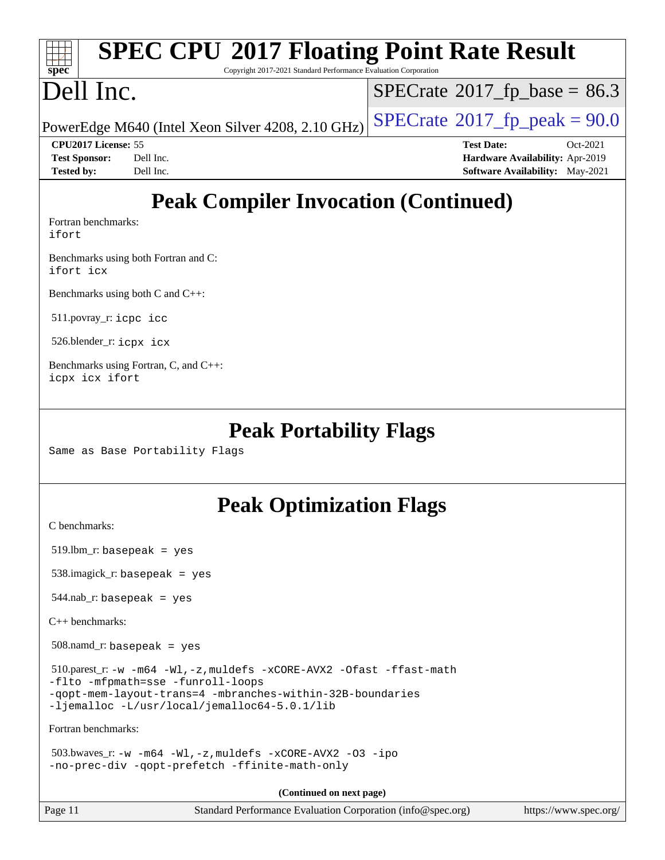#### **[SPEC CPU](http://www.spec.org/auto/cpu2017/Docs/result-fields.html#SPECCPU2017FloatingPointRateResult)[2017 Floating Point Rate Result](http://www.spec.org/auto/cpu2017/Docs/result-fields.html#SPECCPU2017FloatingPointRateResult)** Copyright 2017-2021 Standard Performance Evaluation Corporation

# Dell Inc.

**[spec](http://www.spec.org/)**

TH 7

 $SPECTate@2017_fp\_base = 86.3$ 

PowerEdge M640 (Intel Xeon Silver 4208, 2.10 GHz)  $\left|$  [SPECrate](http://www.spec.org/auto/cpu2017/Docs/result-fields.html#SPECrate2017fppeak)®[2017\\_fp\\_peak = 9](http://www.spec.org/auto/cpu2017/Docs/result-fields.html#SPECrate2017fppeak)0.0

**[CPU2017 License:](http://www.spec.org/auto/cpu2017/Docs/result-fields.html#CPU2017License)** 55 **[Test Date:](http://www.spec.org/auto/cpu2017/Docs/result-fields.html#TestDate)** Oct-2021 **[Test Sponsor:](http://www.spec.org/auto/cpu2017/Docs/result-fields.html#TestSponsor)** Dell Inc. **[Hardware Availability:](http://www.spec.org/auto/cpu2017/Docs/result-fields.html#HardwareAvailability)** Apr-2019 **[Tested by:](http://www.spec.org/auto/cpu2017/Docs/result-fields.html#Testedby)** Dell Inc. **[Software Availability:](http://www.spec.org/auto/cpu2017/Docs/result-fields.html#SoftwareAvailability)** May-2021

# **[Peak Compiler Invocation \(Continued\)](http://www.spec.org/auto/cpu2017/Docs/result-fields.html#PeakCompilerInvocation)**

[Fortran benchmarks](http://www.spec.org/auto/cpu2017/Docs/result-fields.html#Fortranbenchmarks): [ifort](http://www.spec.org/cpu2017/results/res2021q4/cpu2017-20211108-29992.flags.html#user_FCpeak_intel_ifort_8111460550e3ca792625aed983ce982f94888b8b503583aa7ba2b8303487b4d8a21a13e7191a45c5fd58ff318f48f9492884d4413fa793fd88dd292cad7027ca)

[Benchmarks using both Fortran and C](http://www.spec.org/auto/cpu2017/Docs/result-fields.html#BenchmarksusingbothFortranandC): [ifort](http://www.spec.org/cpu2017/results/res2021q4/cpu2017-20211108-29992.flags.html#user_CC_FCpeak_intel_ifort_8111460550e3ca792625aed983ce982f94888b8b503583aa7ba2b8303487b4d8a21a13e7191a45c5fd58ff318f48f9492884d4413fa793fd88dd292cad7027ca) [icx](http://www.spec.org/cpu2017/results/res2021q4/cpu2017-20211108-29992.flags.html#user_CC_FCpeak_intel_icx_fe2d28d19ae2a5db7c42fe0f2a2aed77cb715edd4aeb23434404a8be6683fe239869bb6ca8154ca98265c2e3b9226a719a0efe2953a4a7018c379b7010ccf087)

[Benchmarks using both C and C++](http://www.spec.org/auto/cpu2017/Docs/result-fields.html#BenchmarksusingbothCandCXX):

511.povray\_r: [icpc](http://www.spec.org/cpu2017/results/res2021q4/cpu2017-20211108-29992.flags.html#user_peakCXXLD511_povray_r_intel_icpc_c510b6838c7f56d33e37e94d029a35b4a7bccf4766a728ee175e80a419847e808290a9b78be685c44ab727ea267ec2f070ec5dc83b407c0218cded6866a35d07) [icc](http://www.spec.org/cpu2017/results/res2021q4/cpu2017-20211108-29992.flags.html#user_peakCC511_povray_r_intel_icc_66fc1ee009f7361af1fbd72ca7dcefbb700085f36577c54f309893dd4ec40d12360134090235512931783d35fd58c0460139e722d5067c5574d8eaf2b3e37e92)

526.blender\_r: [icpx](http://www.spec.org/cpu2017/results/res2021q4/cpu2017-20211108-29992.flags.html#user_peakCXXLD526_blender_r_intel_icpx_1e918ed14c436bf4b9b7c8bcdd51d4539fc71b3df010bd1e9f8732d9c34c2b2914e48204a846820f3c0ebb4095dea797a5c30b458ac0b6dffac65d78f781f5ca) [icx](http://www.spec.org/cpu2017/results/res2021q4/cpu2017-20211108-29992.flags.html#user_peakCC526_blender_r_intel_icx_fe2d28d19ae2a5db7c42fe0f2a2aed77cb715edd4aeb23434404a8be6683fe239869bb6ca8154ca98265c2e3b9226a719a0efe2953a4a7018c379b7010ccf087)

[Benchmarks using Fortran, C, and C++:](http://www.spec.org/auto/cpu2017/Docs/result-fields.html#BenchmarksusingFortranCandCXX) [icpx](http://www.spec.org/cpu2017/results/res2021q4/cpu2017-20211108-29992.flags.html#user_CC_CXX_FCpeak_intel_icpx_1e918ed14c436bf4b9b7c8bcdd51d4539fc71b3df010bd1e9f8732d9c34c2b2914e48204a846820f3c0ebb4095dea797a5c30b458ac0b6dffac65d78f781f5ca) [icx](http://www.spec.org/cpu2017/results/res2021q4/cpu2017-20211108-29992.flags.html#user_CC_CXX_FCpeak_intel_icx_fe2d28d19ae2a5db7c42fe0f2a2aed77cb715edd4aeb23434404a8be6683fe239869bb6ca8154ca98265c2e3b9226a719a0efe2953a4a7018c379b7010ccf087) [ifort](http://www.spec.org/cpu2017/results/res2021q4/cpu2017-20211108-29992.flags.html#user_CC_CXX_FCpeak_intel_ifort_8111460550e3ca792625aed983ce982f94888b8b503583aa7ba2b8303487b4d8a21a13e7191a45c5fd58ff318f48f9492884d4413fa793fd88dd292cad7027ca)

### **[Peak Portability Flags](http://www.spec.org/auto/cpu2017/Docs/result-fields.html#PeakPortabilityFlags)**

Same as Base Portability Flags

# **[Peak Optimization Flags](http://www.spec.org/auto/cpu2017/Docs/result-fields.html#PeakOptimizationFlags)**

[C benchmarks](http://www.spec.org/auto/cpu2017/Docs/result-fields.html#Cbenchmarks):

519.lbm\_r: basepeak = yes

538.imagick\_r: basepeak = yes

 $544$ .nab\_r: basepeak = yes

[C++ benchmarks:](http://www.spec.org/auto/cpu2017/Docs/result-fields.html#CXXbenchmarks)

508.namd\_r: basepeak = yes

 510.parest\_r: [-w](http://www.spec.org/cpu2017/results/res2021q4/cpu2017-20211108-29992.flags.html#user_peakCXXLD510_parest_r_supress_warning_66fb2c4e5c1dd10f38bdd29623979399e5ae75ae6e5453792d82ef66afed381df4a8602f92cac8d2ea0fffa7b93b4b1ccb9ecad4af01c9b2fe338b2082ae3859) [-m64](http://www.spec.org/cpu2017/results/res2021q4/cpu2017-20211108-29992.flags.html#user_peakCXXLD510_parest_r_m64-icc) [-Wl,-z,muldefs](http://www.spec.org/cpu2017/results/res2021q4/cpu2017-20211108-29992.flags.html#user_peakEXTRA_LDFLAGS510_parest_r_link_force_multiple1_b4cbdb97b34bdee9ceefcfe54f4c8ea74255f0b02a4b23e853cdb0e18eb4525ac79b5a88067c842dd0ee6996c24547a27a4b99331201badda8798ef8a743f577) [-xCORE-AVX2](http://www.spec.org/cpu2017/results/res2021q4/cpu2017-20211108-29992.flags.html#user_peakCXXOPTIMIZE510_parest_r_f-xCORE-AVX2) [-Ofast](http://www.spec.org/cpu2017/results/res2021q4/cpu2017-20211108-29992.flags.html#user_peakCXXOPTIMIZE510_parest_r_f-Ofast) [-ffast-math](http://www.spec.org/cpu2017/results/res2021q4/cpu2017-20211108-29992.flags.html#user_peakCXXOPTIMIZE510_parest_r_f-ffast-math) [-flto](http://www.spec.org/cpu2017/results/res2021q4/cpu2017-20211108-29992.flags.html#user_peakCXXOPTIMIZE510_parest_r_f-flto) [-mfpmath=sse](http://www.spec.org/cpu2017/results/res2021q4/cpu2017-20211108-29992.flags.html#user_peakCXXOPTIMIZE510_parest_r_f-mfpmath_70eb8fac26bde974f8ab713bc9086c5621c0b8d2f6c86f38af0bd7062540daf19db5f3a066d8c6684be05d84c9b6322eb3b5be6619d967835195b93d6c02afa1) [-funroll-loops](http://www.spec.org/cpu2017/results/res2021q4/cpu2017-20211108-29992.flags.html#user_peakCXXOPTIMIZE510_parest_r_f-funroll-loops) [-qopt-mem-layout-trans=4](http://www.spec.org/cpu2017/results/res2021q4/cpu2017-20211108-29992.flags.html#user_peakCXXOPTIMIZE510_parest_r_f-qopt-mem-layout-trans_fa39e755916c150a61361b7846f310bcdf6f04e385ef281cadf3647acec3f0ae266d1a1d22d972a7087a248fd4e6ca390a3634700869573d231a252c784941a8) [-mbranches-within-32B-boundaries](http://www.spec.org/cpu2017/results/res2021q4/cpu2017-20211108-29992.flags.html#user_peakEXTRA_CXXOPTIMIZE510_parest_r_f-mbranches-within-32B-boundaries) [-ljemalloc](http://www.spec.org/cpu2017/results/res2021q4/cpu2017-20211108-29992.flags.html#user_peakEXTRA_LIBS510_parest_r_jemalloc_link_lib_d1249b907c500fa1c0672f44f562e3d0f79738ae9e3c4a9c376d49f265a04b9c99b167ecedbf6711b3085be911c67ff61f150a17b3472be731631ba4d0471706) [-L/usr/local/jemalloc64-5.0.1/lib](http://www.spec.org/cpu2017/results/res2021q4/cpu2017-20211108-29992.flags.html#user_peakEXTRA_LIBS510_parest_r_jemalloc_link_path64_1_cc289568b1a6c0fd3b62c91b824c27fcb5af5e8098e6ad028160d21144ef1b8aef3170d2acf0bee98a8da324cfe4f67d0a3d0c4cc4673d993d694dc2a0df248b)

[Fortran benchmarks](http://www.spec.org/auto/cpu2017/Docs/result-fields.html#Fortranbenchmarks):

| 503.bwaves_r:-w -m64 -Wl,-z, muldefs -xCORE-AVX2 -03 -ipo |  |  |  |
|-----------------------------------------------------------|--|--|--|
| -no-prec-div -qopt-prefetch -ffinite-math-only            |  |  |  |

**(Continued on next page)**

Page 11 Standard Performance Evaluation Corporation [\(info@spec.org\)](mailto:info@spec.org) <https://www.spec.org/>